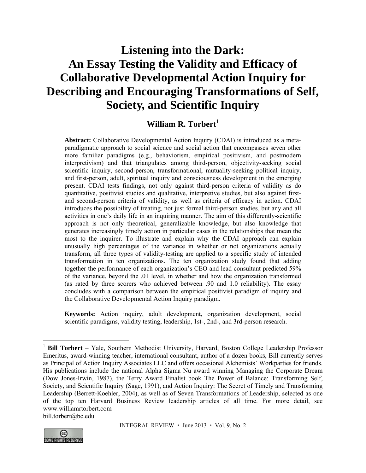# **Listening into the Dark: An Essay Testing the Validity and Efficacy of Collaborative Developmental Action Inquiry for Describing and Encouraging Transformations of Self, Society, and Scientific Inquiry**

### **William R. Torbert<sup>1</sup>**

**Abstract:** Collaborative Developmental Action Inquiry (CDAI) is introduced as a metaparadigmatic approach to social science and social action that encompasses seven other more familiar paradigms (e.g., behaviorism, empirical positivism, and postmodern interpretivism) and that triangulates among third-person, objectivity-seeking social scientific inquiry, second-person, transformational, mutuality-seeking political inquiry, and first-person, adult, spiritual inquiry and consciousness development in the emerging present. CDAI tests findings, not only against third-person criteria of validity as do quantitative, positivist studies and qualitative, interpretive studies, but also against firstand second-person criteria of validity, as well as criteria of efficacy in action. CDAI introduces the possibility of treating, not just formal third-person studies, but any and all activities in one's daily life in an inquiring manner. The aim of this differently-scientific approach is not only theoretical, generalizable knowledge, but also knowledge that generates increasingly timely action in particular cases in the relationships that mean the most to the inquirer. To illustrate and explain why the CDAI approach can explain unusually high percentages of the variance in whether or not organizations actually transform, all three types of validity-testing are applied to a specific study of intended transformation in ten organizations. The ten organization study found that adding together the performance of each organization's CEO and lead consultant predicted 59% of the variance, beyond the .01 level, in whether and how the organization transformed (as rated by three scorers who achieved between .90 and 1.0 reliability). The essay concludes with a comparison between the empirical positivist paradigm of inquiry and the Collaborative Developmental Action Inquiry paradigm.

**Keywords:** Action inquiry, adult development, organization development, social scientific paradigms, validity testing, leadership, 1st-, 2nd-, and 3rd-person research.

bill.torbert@bc.edu



 $\overline{a}$ 

<sup>1</sup> **Bill Torbert** – Yale, Southern Methodist University, Harvard, Boston College Leadership Professor Emeritus, award-winning teacher, international consultant, author of a dozen books, Bill currently serves as Principal of Action Inquiry Associates LLC and offers occasional Alchemists' Workparties for friends. His publications include the national Alpha Sigma Nu award winning Managing the Corporate Dream (Dow Jones-Irwin, 1987), the Terry Award Finalist book The Power of Balance: Transforming Self, Society, and Scientific Inquiry (Sage, 1991), and Action Inquiry: The Secret of Timely and Transforming Leadership (Berrett-Koehler, 2004), as well as of Seven Transformations of Leadership, selected as one of the top ten Harvard Business Review leadership articles of all time. For more detail, see www.williamrtorbert.com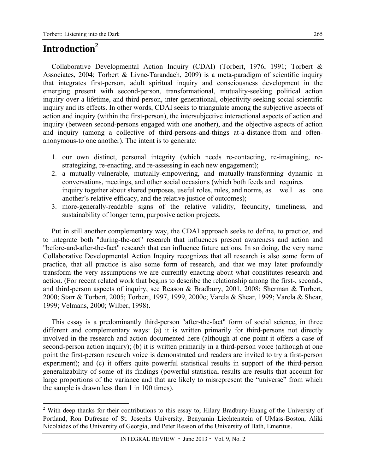## **Introduction2**

 $\overline{a}$ 

Collaborative Developmental Action Inquiry (CDAI) (Torbert, 1976, 1991; Torbert & Associates, 2004; Torbert & Livne-Tarandach, 2009) is a meta-paradigm of scientific inquiry that integrates first-person, adult spiritual inquiry and consciousness development in the emerging present with second-person, transformational, mutuality-seeking political action inquiry over a lifetime, and third-person, inter-generational, objectivity-seeking social scientific inquiry and its effects. In other words, CDAI seeks to triangulate among the subjective aspects of action and inquiry (within the first-person), the intersubjective interactional aspects of action and inquiry (between second-persons engaged with one another), and the objective aspects of action and inquiry (among a collective of third-persons-and-things at-a-distance-from and oftenanonymous-to one another). The intent is to generate:

- 1. our own distinct, personal integrity (which needs re-contacting, re-imagining, restrategizing, re-enacting, and re-assessing in each new engagement);
- 2. a mutually-vulnerable, mutually-empowering, and mutually-transforming dynamic in conversations, meetings, and other social occasions (which both feeds and requires inquiry together about shared purposes, useful roles, rules, and norms, as well as one another's relative efficacy, and the relative justice of outcomes);
- 3. more-generally-readable signs of the relative validity, fecundity, timeliness, and sustainability of longer term, purposive action projects.

Put in still another complementary way, the CDAI approach seeks to define, to practice, and to integrate both "during-the-act" research that influences present awareness and action and "before-and-after-the-fact" research that can influence future actions. In so doing, the very name Collaborative Developmental Action Inquiry recognizes that all research is also some form of practice, that all practice is also some form of research, and that we may later profoundly transform the very assumptions we are currently enacting about what constitutes research and action. (For recent related work that begins to describe the relationship among the first-, second-, and third-person aspects of inquiry, see Reason & Bradbury, 2001, 2008; Sherman & Torbert, 2000; Starr & Torbert, 2005; Torbert, 1997, 1999, 2000c; Varela & Shear, 1999; Varela & Shear, 1999; Velmans, 2000; Wilber, 1998).

This essay is a predominantly third-person "after-the-fact" form of social science, in three different and complementary ways: (a) it is written primarily for third-persons not directly involved in the research and action documented here (although at one point it offers a case of second-person action inquiry); (b) it is written primarily in a third-person voice (although at one point the first-person research voice is demonstrated and readers are invited to try a first-person experiment); and (c) it offers quite powerful statistical results in support of the third-person generalizability of some of its findings (powerful statistical results are results that account for large proportions of the variance and that are likely to misrepresent the "universe" from which the sample is drawn less than 1 in 100 times).

 $2$  With deep thanks for their contributions to this essay to; Hilary Bradbury-Huang of the University of Portland, Ron Dufresne of St. Josephs University, Benyamin Liechtenstein of UMass-Boston, Aliki Nicolaides of the University of Georgia, and Peter Reason of the University of Bath, Emeritus.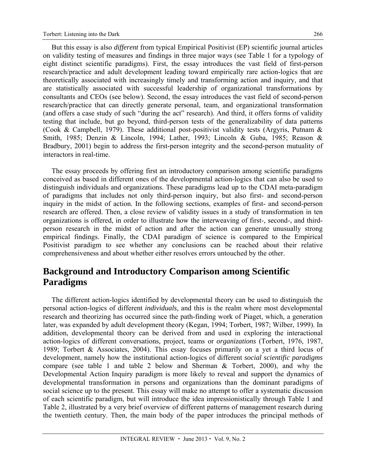But this essay is also *different* from typical Empirical Positivist (EP) scientific journal articles on validity testing of measures and findings in three major ways (see Table 1 for a typology of eight distinct scientific paradigms). First, the essay introduces the vast field of first-person research/practice and adult development leading toward empirically rare action-logics that are theoretically associated with increasingly timely and transforming action and inquiry, and that are statistically associated with successful leadership of organizational transformations by consultants and CEOs (see below). Second, the essay introduces the vast field of second-person research/practice that can directly generate personal, team, and organizational transformation (and offers a case study of such "during the act" research). And third, it offers forms of validity testing that include, but go beyond, third-person tests of the generalizability of data patterns (Cook & Campbell, 1979). These additional post-positivist validity tests (Argyris, Putnam & Smith, 1985; Denzin & Lincoln, 1994; Lather, 1993; Lincoln & Guba, 1985; Reason & Bradbury, 2001) begin to address the first-person integrity and the second-person mutuality of interactors in real-time.

The essay proceeds by offering first an introductory comparison among scientific paradigms conceived as based in different ones of the developmental action-logics that can also be used to distinguish individuals and organizations. These paradigms lead up to the CDAI meta-paradigm of paradigms that includes not only third-person inquiry, but also first- and second-person inquiry in the midst of action. In the following sections, examples of first- and second-person research are offered. Then, a close review of validity issues in a study of transformation in ten organizations is offered, in order to illustrate how the interweaving of first-, second-, and thirdperson research in the midst of action and after the action can generate unusually strong empirical findings. Finally, the CDAI paradigm of science is compared to the Empirical Positivist paradigm to see whether any conclusions can be reached about their relative comprehensiveness and about whether either resolves errors untouched by the other.

## **Background and Introductory Comparison among Scientific Paradigms**

The different action-logics identified by developmental theory can be used to distinguish the personal action-logics of different *individuals,* and this is the realm where most developmental research and theorizing has occurred since the path-finding work of Piaget, which, a generation later, was expanded by adult development theory (Kegan, 1994; Torbert, 1987; Wilber, 1999). In addition, developmental theory can be derived from and used in exploring the interactional action-logics of different conversations, project, teams or *organizations* (Torbert, 1976, 1987, 1989; Torbert & Associates, 2004). This essay focuses primarily on a yet a third locus of development, namely how the institutional action-logics of different *social scientific paradigms* compare (see table 1 and table 2 below and Sherman & Torbert, 2000), and why the Developmental Action Inquiry paradigm is more likely to reveal and support the dynamics of developmental transformation in persons and organizations than the dominant paradigms of social science up to the present. This essay will make no attempt to offer a systematic discussion of each scientific paradigm, but will introduce the idea impressionistically through Table 1 and Table 2, illustrated by a very brief overview of different patterns of management research during the twentieth century. Then, the main body of the paper introduces the principal methods of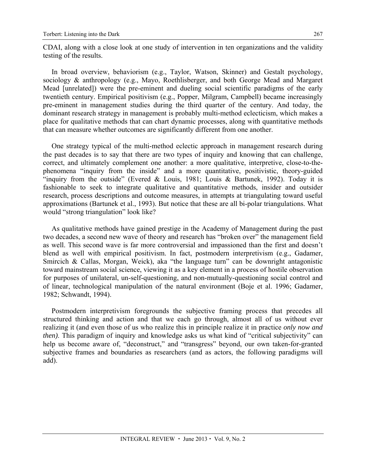CDAI, along with a close look at one study of intervention in ten organizations and the validity testing of the results.

In broad overview, behaviorism (e.g., Taylor, Watson, Skinner) and Gestalt psychology, sociology & anthropology (e.g., Mayo, Roethlisberger, and both George Mead and Margaret Mead [unrelated]) were the pre-eminent and dueling social scientific paradigms of the early twentieth century. Empirical positivism (e.g., Popper, Milgram, Campbell) became increasingly pre-eminent in management studies during the third quarter of the century. And today, the dominant research strategy in management is probably multi-method eclecticism, which makes a place for qualitative methods that can chart dynamic processes, along with quantitative methods that can measure whether outcomes are significantly different from one another.

One strategy typical of the multi-method eclectic approach in management research during the past decades is to say that there are two types of inquiry and knowing that can challenge, correct, and ultimately complement one another: a more qualitative, interpretive, close-to-thephenomena "inquiry from the inside" and a more quantitative, positivistic, theory-guided "inquiry from the outside" (Evered & Louis, 1981; Louis & Bartunek, 1992). Today it is fashionable to seek to integrate qualitative and quantitative methods, insider and outsider research, process descriptions and outcome measures, in attempts at triangulating toward useful approximations (Bartunek et al., 1993). But notice that these are all bi-polar triangulations. What would "strong triangulation" look like?

As qualitative methods have gained prestige in the Academy of Management during the past two decades, a second new wave of theory and research has "broken over" the management field as well. This second wave is far more controversial and impassioned than the first and doesn't blend as well with empirical positivism. In fact, postmodern interpretivism (e.g., Gadamer, Smircich & Callas, Morgan, Weick), aka "the language turn" can be downright antagonistic toward mainstream social science, viewing it as a key element in a process of hostile observation for purposes of unilateral, un-self-questioning, and non-mutually-questioning social control and of linear, technological manipulation of the natural environment (Boje et al. 1996; Gadamer, 1982; Schwandt, 1994).

Postmodern interpretivism foregrounds the subjective framing process that precedes all structured thinking and action and that we each go through, almost all of us without ever realizing it (and even those of us who realize this in principle realize it in practice *only now and then)*. This paradigm of inquiry and knowledge asks us what kind of "critical subjectivity" can help us become aware of, "deconstruct," and "transgress" beyond, our own taken-for-granted subjective frames and boundaries as researchers (and as actors, the following paradigms will add).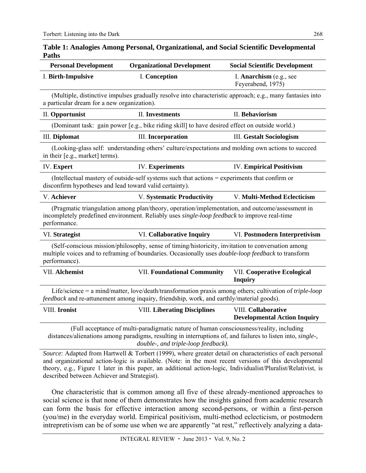| <b>Personal Development</b>                                                                                                                                                                                                      | <b>Organizational Development</b>                                                                                                                                                                                                             | <b>Social Scientific Development</b>         |  |  |  |
|----------------------------------------------------------------------------------------------------------------------------------------------------------------------------------------------------------------------------------|-----------------------------------------------------------------------------------------------------------------------------------------------------------------------------------------------------------------------------------------------|----------------------------------------------|--|--|--|
| I. Birth-Impulsive                                                                                                                                                                                                               | I. Conception                                                                                                                                                                                                                                 | I. Anarchism (e.g., see<br>Feyerabend, 1975) |  |  |  |
| (Multiple, distinctive impulses gradually resolve into characteristic approach; e.g., many fantasies into<br>a particular dream for a new organization).                                                                         |                                                                                                                                                                                                                                               |                                              |  |  |  |
| II. Opportunist                                                                                                                                                                                                                  | <b>II.</b> Investments                                                                                                                                                                                                                        | II. Behaviorism                              |  |  |  |
|                                                                                                                                                                                                                                  | (Dominant task: gain power [e.g., bike riding skill] to have desired effect on outside world.)                                                                                                                                                |                                              |  |  |  |
| <b>III.</b> Diplomat                                                                                                                                                                                                             | <b>III.</b> Incorporation                                                                                                                                                                                                                     | <b>III.</b> Gestalt Sociologism              |  |  |  |
| (Looking-glass self: understanding others' culture/expectations and molding own actions to succeed<br>in their [e.g., market] terms).                                                                                            |                                                                                                                                                                                                                                               |                                              |  |  |  |
| <b>IV.</b> Expert                                                                                                                                                                                                                | <b>IV.</b> Experiments                                                                                                                                                                                                                        | <b>IV. Empirical Positivism</b>              |  |  |  |
| (Intellectual mastery of outside-self systems such that actions = experiments that confirm or<br>disconfirm hypotheses and lead toward valid certainty).                                                                         |                                                                                                                                                                                                                                               |                                              |  |  |  |
| V. Achiever                                                                                                                                                                                                                      | <b>V. Systematic Productivity</b><br>V. Multi-Method Eclecticism                                                                                                                                                                              |                                              |  |  |  |
| (Pragmatic triangulation among plan/theory, operation/implementation, and outcome/assessment in<br>incompletely predefined environment. Reliably uses <i>single-loop feedback</i> to improve real-time<br>performance.           |                                                                                                                                                                                                                                               |                                              |  |  |  |
| VI. Strategist                                                                                                                                                                                                                   | VI. Collaborative Inquiry                                                                                                                                                                                                                     | VI. Postmodern Interpretivism                |  |  |  |
| (Self-conscious mission/philosophy, sense of timing/historicity, invitation to conversation among<br>multiple voices and to reframing of boundaries. Occasionally uses <i>double-loop feedback</i> to transform<br>performance). |                                                                                                                                                                                                                                               |                                              |  |  |  |
| VII. Alchemist                                                                                                                                                                                                                   | <b>VII. Foundational Community</b><br><b>VII. Cooperative Ecological</b><br><b>Inquiry</b>                                                                                                                                                    |                                              |  |  |  |
| Life/science = a mind/matter, love/death/transformation praxis among others; cultivation of <i>triple-loop</i><br>feedback and re-attunement among inquiry, friendship, work, and earthly/material goods).                       |                                                                                                                                                                                                                                               |                                              |  |  |  |
| VIII. Ironist                                                                                                                                                                                                                    | <b>VIII. Liberating Disciplines</b><br><b>VIII. Collaborative</b><br><b>Developmental Action Inquiry</b>                                                                                                                                      |                                              |  |  |  |
|                                                                                                                                                                                                                                  | (Full acceptance of multi-paradigmatic nature of human consciousness/reality, including<br>distances/alienations among paradigms, resulting in interruptions of, and failures to listen into, single-,<br>double-, and triple-loop feedback). |                                              |  |  |  |
|                                                                                                                                                                                                                                  | Source: Adapted from Hartwell & Torbert (1999), where greater detail on characteristics of each personal                                                                                                                                      |                                              |  |  |  |

#### **Table 1: Analogies Among Personal, Organizational, and Social Scientific Developmental Paths**

and organizational action-logic is available. (Note: in the most recent versions of this developmental theory, e.g., Figure 1 later in this paper, an additional action-logic, Individualist/Pluralist/Relativist, is described between Achiever and Strategist).

One characteristic that is common among all five of these already-mentioned approaches to social science is that none of them demonstrates how the insights gained from academic research can form the basis for effective interaction among second-persons, or within a first-person (you/me) in the everyday world. Empirical positivism, multi-method eclecticism, or postmodern intrepretivism can be of some use when we are apparently "at rest," reflectively analyzing a data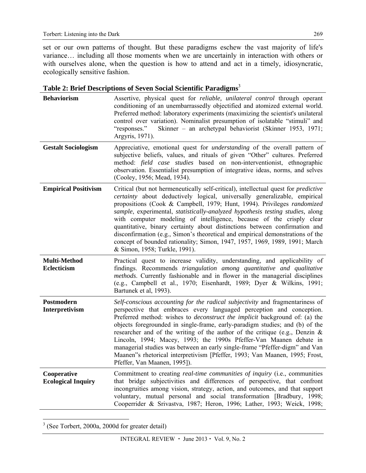set or our own patterns of thought. But these paradigms eschew the vast majority of life's variance… including all those moments when we are uncertainly in interaction with others or with ourselves alone, when the question is how to attend and act in a timely, idiosyncratic, ecologically sensitive fashion.

| <b>Behaviorism</b>                       | Assertive, physical quest for <i>reliable</i> , <i>unilateral control</i> through operant<br>conditioning of an unembarrassedly objectified and atomized external world.<br>Preferred method: laboratory experiments (maximizing the scientist's unilateral<br>control over variation). Nominalist presumption of isolatable "stimuli" and<br>"responses."<br>Skinner – an archetypal behaviorist (Skinner 1953, 1971;<br>Argyris, 1971).                                                                                                                                                                                                                                                   |
|------------------------------------------|---------------------------------------------------------------------------------------------------------------------------------------------------------------------------------------------------------------------------------------------------------------------------------------------------------------------------------------------------------------------------------------------------------------------------------------------------------------------------------------------------------------------------------------------------------------------------------------------------------------------------------------------------------------------------------------------|
| <b>Gestalt Sociologism</b>               | Appreciative, emotional quest for <i>understanding</i> of the overall pattern of<br>subjective beliefs, values, and rituals of given "Other" cultures. Preferred<br>method: field case studies based on non-interventionist, ethnographic<br>observation. Essentialist presumption of integrative ideas, norms, and selves<br>(Cooley, 1956; Mead, 1934).                                                                                                                                                                                                                                                                                                                                   |
| <b>Empirical Positivism</b>              | Critical (but not hermeneutically self-critical), intellectual quest for <i>predictive</i><br>certainty about deductively logical, universally generalizable, empirical<br>propositions (Cook & Campbell, 1979; Hunt, 1994). Privileges randomized<br>sample, experimental, statistically-analyzed hypothesis testing studies, along<br>with computer modeling of intelligence, because of the crisply clear<br>quantitative, binary certainty about distinctions between confirmation and<br>disconfirmation (e.g., Simon's theoretical and empirical demonstrations of the<br>concept of bounded rationality; Simon, 1947, 1957, 1969, 1989, 1991; March<br>& Simon, 1958; Turkle, 1991). |
| Multi-Method<br>Eclecticism              | Practical quest to increase validity, understanding, and applicability of<br>findings. Recommends triangulation among quantitative and qualitative<br>methods. Currently fashionable and in flower in the managerial disciplines<br>(e.g., Campbell et al., 1970; Eisenhardt, 1989; Dyer & Wilkins, 1991;<br>Bartunek et al, 1993).                                                                                                                                                                                                                                                                                                                                                         |
| Postmodern<br>Interpretivism             | Self-conscious accounting for the radical subjectivity and fragmentariness of<br>perspective that embraces every languaged perception and conception.<br>Preferred method: wishes to <i>deconstruct the implicit</i> background of: (a) the<br>objects foregrounded in single-frame, early-paradigm studies; and (b) of the<br>researcher and of the writing of the author of the critique (e.g., Denzin $\&$<br>Lincoln, 1994; Macey, 1993; the 1990s Pfeffer-Van Maanen debate in<br>managerial studies was between an early single-frame "Pfeffer-digm" and Van<br>Maanen"s rhetorical interpretivism [Pfeffer, 1993; Van Maanen, 1995; Frost,<br>Pfeffer, Van Maanen, 1995]).           |
| Cooperative<br><b>Ecological Inquiry</b> | Commitment to creating real-time communities of inquiry (i.e., communities<br>that bridge subjectivities and differences of perspective, that confront<br>incongruities among vision, strategy, action, and outcomes, and that support<br>voluntary, mutual personal and social transformation [Bradbury, 1998;<br>Cooperrider & Srivastva, 1987; Heron, 1996; Lather, 1993; Weick, 1998;                                                                                                                                                                                                                                                                                                   |

| Table 2: Brief Descriptions of Seven Social Scientific Paradigms <sup>3</sup> |  |  |
|-------------------------------------------------------------------------------|--|--|
|                                                                               |  |  |
|                                                                               |  |  |
|                                                                               |  |  |

 3 (See Torbert, 2000a, 2000d for greater detail)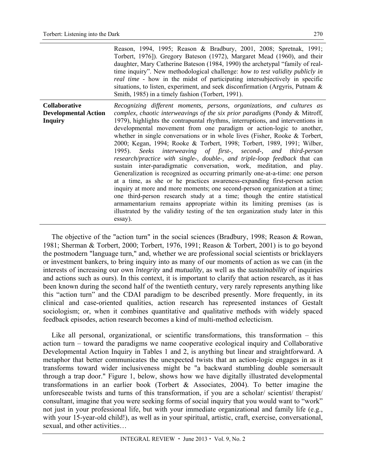|                                                         | Reason, 1994, 1995; Reason & Bradbury, 2001, 2008; Spretnak, 1991;<br>Torbert, 1976]). Gregory Bateson (1972), Margaret Mead (1960), and their<br>daughter, Mary Catherine Bateson (1984, 1990) the archetypal "family of real-<br>time inquiry". New methodological challenge: how to test validity publicly in<br><i>real time</i> - how in the midst of participating intersubjectively in specific<br>situations, to listen, experiment, and seek disconfirmation (Argyris, Putnam $\&$<br>Smith, 1985) in a timely fashion (Torbert, 1991).                                                                                                                                                                                                                                                                                                                                                                                                                                                                                                                                                                                                                                          |
|---------------------------------------------------------|-------------------------------------------------------------------------------------------------------------------------------------------------------------------------------------------------------------------------------------------------------------------------------------------------------------------------------------------------------------------------------------------------------------------------------------------------------------------------------------------------------------------------------------------------------------------------------------------------------------------------------------------------------------------------------------------------------------------------------------------------------------------------------------------------------------------------------------------------------------------------------------------------------------------------------------------------------------------------------------------------------------------------------------------------------------------------------------------------------------------------------------------------------------------------------------------|
| Collaborative<br><b>Developmental Action</b><br>Inquiry | Recognizing different moments, persons, organizations, and cultures as<br>complex, chaotic interweavings of the six prior paradigms (Pondy $\&$ Mitroff,<br>1979), highlights the contrapuntal rhythms, interruptions, and interventions in<br>developmental movement from one paradigm or action-logic to another,<br>whether in single conversations or in whole lives (Fisher, Rooke & Torbert,<br>2000; Kegan, 1994; Rooke & Torbert, 1998; Torbert, 1989, 1991; Wilber,<br>1995). Seeks interweaving of first-, second-, and third-person<br>research/practice with single-, double-, and triple-loop feedback that can<br>sustain inter-paradigmatic conversation, work, meditation, and play.<br>Generalization is recognized as occurring primarily one-at-a-time: one person<br>at a time, as she or he practices awareness-expanding first-person action<br>inquiry at more and more moments; one second-person organization at a time;<br>one third-person research study at a time; though the entire statistical<br>armamentarium remains appropriate within its limiting premises (as is<br>illustrated by the validity testing of the ten organization study later in this |

The objective of the "action turn" in the social sciences (Bradbury, 1998; Reason & Rowan, 1981; Sherman & Torbert, 2000; Torbert, 1976, 1991; Reason & Torbert, 2001) is to go beyond the postmodern "language turn," and, whether we are professional social scientists or bricklayers or investment bankers, to bring inquiry into as many of our moments of action as we can (in the interests of increasing our own *întegrity* and *mutuality*, as well as the *sustainability* of inquiries and actions such as ours). In this context, it is important to clarify that action research, as it has been known during the second half of the twentieth century, very rarely represents anything like this "action turn" and the CDAI paradigm to be described presently. More frequently, in its clinical and case-oriented qualities, action research has represented instances of Gestalt sociologism; or, when it combines quantitative and qualitative methods with widely spaced feedback episodes, action research becomes a kind of multi-method eclecticism.

essay).

Like all personal, organizational, or scientific transformations, this transformation – this action turn – toward the paradigms we name cooperative ecological inquiry and Collaborative Developmental Action Inquiry in Tables 1 and 2, is anything but linear and straightforward. A metaphor that better communicates the unexpected twists that an action-logic engages in as it transforms toward wider inclusiveness might be "a backward stumbling double somersault through a trap door." Figure 1, below, shows how we have digitally illustrated developmental transformations in an earlier book (Torbert & Associates, 2004). To better imagine the unforeseeable twists and turns of this transformation, if you are a scholar/ scientist/ therapist/ consultant, imagine that you were seeking forms of social inquiry that you would want to "work" not just in your professional life, but with your immediate organizational and family life (e.g., with your 15-year-old child!), as well as in your spiritual, artistic, craft, exercise, conversational, sexual, and other activities…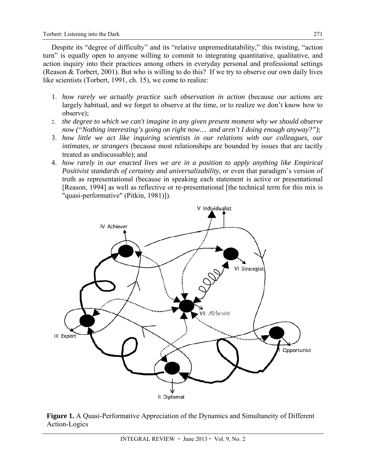Despite its "degree of difficulty" and its "relative unpremeditatability," this twisting, "action turn" is equally open to anyone willing to commit to integrating quantitative, qualitative, and action inquiry into their practices among others in everyday personal and professional settings (Reason & Torbert, 2001). But who is willing to do this? If we try to observe our own daily lives like scientists (Torbert, 1991, ch. 15), we come to realize:

- 1. *how rarely we actually practice such observation in action* (because our actions are largely habitual, and we forget to observe at the time, or to realize we don't know how to observe);
- 2. *the degree to which we can't imagine in any given present moment why we should observe now ("Nothing interesting's going on right now… and aren't I doing enough anyway?")*;
- 3. *how little we act like inquiring scientists in our relations with our colleagues, our intimates, or strangers* (because most relationships are bounded by issues that are tacitly treated as undiscussable); and
- 4. *how rarely in our enacted lives we are in a position to apply anything like Empirical Positivist standards of certainty and universalizability*, or even that paradigm's version of truth as representational (because in speaking each statement is active or presentational [Reason, 1994] as well as reflective or re-presentational [the technical term for this mix is "quasi-performative" (Pitkin, 1981)]).



**Figure 1.** A Quasi-Performative Appreciation of the Dynamics and Simultaneity of Different Action-Logics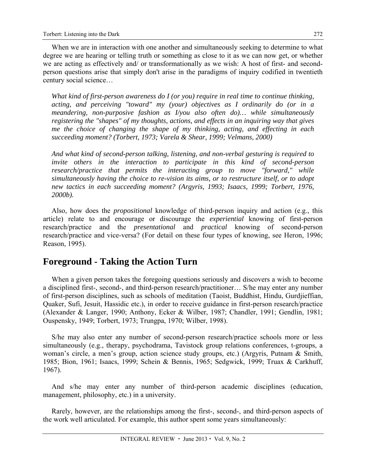When we are in interaction with one another and simultaneously seeking to determine to what degree we are hearing or telling truth or something as close to it as we can now get, or whether we are acting as effectively and/ or transformationally as we wish: A host of first- and secondperson questions arise that simply don't arise in the paradigms of inquiry codified in twentieth century social science…

*What kind of first-person awareness do I (or you) require in real time to continue thinking, acting, and perceiving "toward" my (your) objectives as I ordinarily do (or in a meandering, non-purposive fashion as I/you also often do)… while simultaneously registering the "shapes" of my thoughts, actions, and effects in an inquiring way that gives me the choice of changing the shape of my thinking, acting, and effecting in each succeeding moment? (Torbert, 1973; Varela & Shear, 1999; Velmans, 2000)* 

*And what kind of second-person talking, listening, and non-verbal gesturing is required to invite others in the interaction to participate in this kind of second-person research/practice that permits the interacting group to move "forward," while simultaneously having the choice to re-vision its aims, or to restructure itself, or to adopt new tactics in each succeeding moment? (Argyris, 1993; Isaacs, 1999; Torbert, 1976, 2000b).* 

Also, how does the *propositional* knowledge of third-person inquiry and action (e.g., this article) relate to and encourage or discourage the *experiential* knowing of first-person research/practice and the *presentational* and *practical* knowing of second-person research/practice and vice-versa? (For detail on these four types of knowing, see Heron, 1996; Reason, 1995).

## **Foreground - Taking the Action Turn**

When a given person takes the foregoing questions seriously and discovers a wish to become a disciplined first-, second-, and third-person research/practitioner… S/he may enter any number of first-person disciplines, such as schools of meditation (Taoist, Buddhist, Hindu, Gurdjieffian, Quaker, Sufi, Jesuit, Hassidic etc.), in order to receive guidance in first-person research/practice (Alexander & Langer, 1990; Anthony, Ecker & Wilber, 1987; Chandler, 1991; Gendlin, 1981; Ouspensky, 1949; Torbert, 1973; Trungpa, 1970; Wilber, 1998).

S/he may also enter any number of second-person research/practice schools more or less simultaneously (e.g., therapy, psychodrama, Tavistock group relations conferences, t-groups, a woman's circle, a men's group, action science study groups, etc.) (Argyris, Putnam & Smith, 1985; Bion, 1961; Isaacs, 1999; Schein & Bennis, 1965; Sedgwick, 1999; Truax & Carkhuff, 1967).

And s/he may enter any number of third-person academic disciplines (education, management, philosophy, etc.) in a university.

Rarely, however, are the relationships among the first-, second-, and third-person aspects of the work well articulated. For example, this author spent some years simultaneously: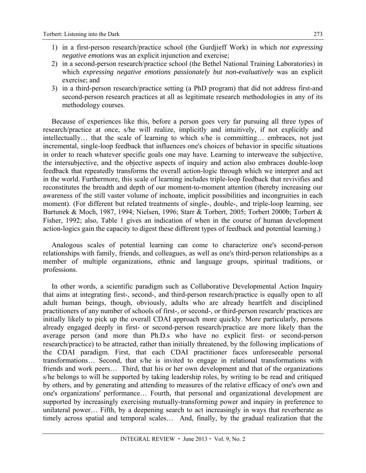- 1) in a first-person research/practice school (the Gurdjieff Work) in which *not expressing negative emotions* was an explicit injunction and exercise;
- 2) in a second-person research/practice school (the Bethel National Training Laboratories) in which *expressing negative emotions passionately but non-evaluatively* was an explicit exercise; and
- 3) in a third-person research/practice setting (a PhD program) that did not address first-and second-person research practices at all as legitimate research methodologies in any of its methodology courses.

Because of experiences like this, before a person goes very far pursuing all three types of research/practice at once, s/he will realize, implicitly and intuitively, if not explicitly and intellectually… that the scale of learning to which s/he is committing… embraces, not just incremental, single-loop feedback that influences one's choices of behavior in specific situations in order to reach whatever specific goals one may have. Learning to interweave the subjective, the intersubjective, and the objective aspects of inquiry and action also embraces double-loop feedback that repeatedly transforms the overall action-logic through which we interpret and act in the world. Furthermore, this scale of learning includes triple-loop feedback that revivifies and reconstitutes the breadth and depth of our moment-to-moment attention (thereby increasing our awareness of the still vaster volume of inchoate, implicit possibilities and incongruities in each moment). (For different but related treatments of single-, double-, and triple-loop learning, see Bartunek & Moch, 1987, 1994; Nielsen, 1996; Starr & Torbert, 2005; Torbert 2000b; Torbert & Fisher, 1992; also, Table 1 gives an indication of when in the course of human development action-logics gain the capacity to digest these different types of feedback and potential learning.)

Analogous scales of potential learning can come to characterize one's second-person relationships with family, friends, and colleagues, as well as one's third-person relationships as a member of multiple organizations, ethnic and language groups, spiritual traditions, or professions.

In other words, a scientific paradigm such as Collaborative Developmental Action Inquiry that aims at integrating first-, second-, and third-person research/practice is equally open to all adult human beings, though, obviously, adults who are already heartfelt and disciplined practitioners of any number of schools of first-, or second-, or third-person research/ practices are initially likely to pick up the overall CDAI approach more quickly. More particularly, persons already engaged deeply in first- or second-person research/practice are more likely than the average person (and more than Ph.D.s who have no explicit first- or second-person research/practice) to be attracted, rather than initially threatened, by the following implications of the CDAI paradigm. First, that each CDAI practitioner faces unforeseeable personal transformations… Second, that s/he is invited to engage in relational transformations with friends and work peers… Third, that his or her own development and that of the organizations s/he belongs to will be supported by taking leadership roles, by writing to be read and critiqued by others, and by generating and attending to measures of the relative efficacy of one's own and one's organizations' performance… Fourth, that personal and organizational development are supported by increasingly exercising mutually-transforming power and inquiry in preference to unilateral power… Fifth, by a deepening search to act increasingly in ways that reverberate as timely across spatial and temporal scales… And, finally, by the gradual realization that the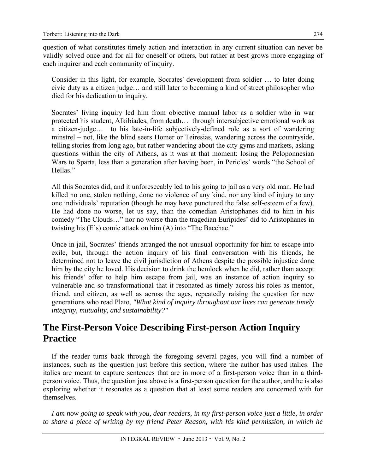question of what constitutes timely action and interaction in any current situation can never be validly solved once and for all for oneself or others, but rather at best grows more engaging of each inquirer and each community of inquiry.

Consider in this light, for example, Socrates' development from soldier … to later doing civic duty as a citizen judge… and still later to becoming a kind of street philosopher who died for his dedication to inquiry.

Socrates' living inquiry led him from objective manual labor as a soldier who in war protected his student, Alkibiades, from death… through intersubjective emotional work as a citizen-judge… to his late-in-life subjectively-defined role as a sort of wandering minstrel – not, like the blind seers Homer or Teiresias, wandering across the countryside, telling stories from long ago, but rather wandering about the city gyms and markets, asking questions within the city of Athens, as it was at that moment: losing the Peloponnesian Wars to Sparta, less than a generation after having been, in Pericles' words "the School of Hellas."

All this Socrates did, and it unforeseeably led to his going to jail as a very old man. He had killed no one, stolen nothing, done no violence of any kind, nor any kind of injury to any one individuals' reputation (though he may have punctured the false self-esteem of a few). He had done no worse, let us say, than the comedian Aristophanes did to him in his comedy "The Clouds…" nor no worse than the tragedian Euripides' did to Aristophanes in twisting his (E's) comic attack on him (A) into "The Bacchae."

Once in jail, Socrates' friends arranged the not-unusual opportunity for him to escape into exile, but, through the action inquiry of his final conversation with his friends, he determined not to leave the civil jurisdiction of Athens despite the possible injustice done him by the city he loved. His decision to drink the hemlock when he did, rather than accept his friends' offer to help him escape from jail, was an instance of action inquiry so vulnerable and so transformational that it resonated as timely across his roles as mentor, friend, and citizen, as well as across the ages, repeatedly raising the question for new generations who read Plato, *"What kind of inquiry throughout our lives can generate timely integrity, mutuality, and sustainability?"*

## **The First-Person Voice Describing First-person Action Inquiry Practice**

If the reader turns back through the foregoing several pages, you will find a number of instances, such as the question just before this section, where the author has used italics. The italics are meant to capture sentences that are in more of a first-person voice than in a thirdperson voice. Thus, the question just above is a first-person question for the author, and he is also exploring whether it resonates as a question that at least some readers are concerned with for themselves.

*I am now going to speak with you, dear readers, in my first-person voice just a little, in order to share a piece of writing by my friend Peter Reason, with his kind permission, in which he*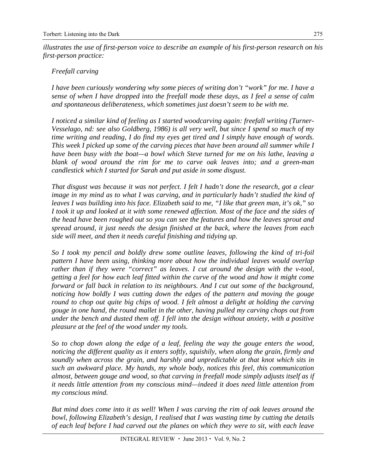*illustrates the use of first-person voice to describe an example of his first-person research on his first-person practice:* 

#### *Freefall carving*

*I have been curiously wondering why some pieces of writing don't "work" for me. I have a sense of when I have dropped into the freefall mode these days, as I feel a sense of calm and spontaneous deliberateness, which sometimes just doesn't seem to be with me.* 

*I noticed a similar kind of feeling as I started woodcarving again: freefall writing (Turner-Vesselago, nd: see also Goldberg, 1986) is all very well, but since I spend so much of my time writing and reading, I do find my eyes get tired and I simply have enough of words. This week I picked up some of the carving pieces that have been around all summer while I have been busy with the boat—a bowl which Steve turned for me on his lathe, leaving a blank of wood around the rim for me to carve oak leaves into; and a green-man candlestick which I started for Sarah and put aside in some disgust.* 

*That disgust was because it was not perfect. I felt I hadn't done the research, got a clear image in my mind as to what I was carving, and in particularly hadn't studied the kind of leaves I was building into his face. Elizabeth said to me, "I like that green man, it's ok," so I took it up and looked at it with some renewed affection. Most of the face and the sides of the head have been roughed out so you can see the features and how the leaves sprout and spread around, it just needs the design finished at the back, where the leaves from each side will meet, and then it needs careful finishing and tidying up.* 

*So I took my pencil and boldly drew some outline leaves, following the kind of tri-foil pattern I have been using, thinking more about how the individual leaves would overlap rather than if they were "correct" as leaves. I cut around the design with the v-tool, getting a feel for how each leaf fitted within the curve of the wood and how it might come forward or fall back in relation to its neighbours. And I cut out some of the background, noticing how boldly I was cutting down the edges of the pattern and moving the gouge round to chop out quite big chips of wood. I felt almost a delight at holding the carving gouge in one hand, the round mallet in the other, having pulled my carving chops out from under the bench and dusted them off. I fell into the design without anxiety, with a positive pleasure at the feel of the wood under my tools.* 

*So to chop down along the edge of a leaf, feeling the way the gouge enters the wood, noticing the different quality as it enters softly, squishily, when along the grain, firmly and soundly when across the grain, and harshly and unpredictable at that knot which sits in such an awkward place. My hands, my whole body, notices this feel, this communication almost, between gouge and wood, so that carving in freefall mode simply adjusts itself as if it needs little attention from my conscious mind—indeed it does need little attention from my conscious mind.* 

*But mind does come into it as well! When I was carving the rim of oak leaves around the bowl, following Elizabeth's design, I realised that I was wasting time by cutting the details of each leaf before I had carved out the planes on which they were to sit, with each leave*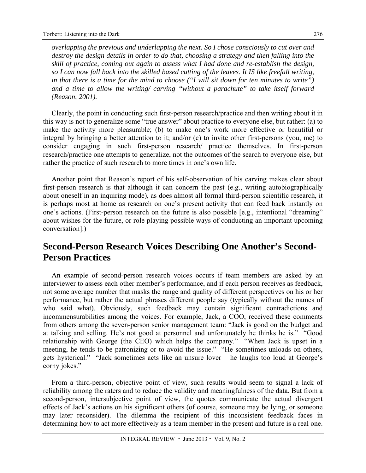*overlapping the previous and underlapping the next. So I chose consciously to cut over and destroy the design details in order to do that, choosing a strategy and then falling into the skill of practice, coming out again to assess what I had done and re-establish the design, so I can now fall back into the skilled based cutting of the leaves. It IS like freefall writing, in that there is a time for the mind to choose ("I will sit down for ten minutes to write") and a time to allow the writing/ carving "without a parachute" to take itself forward (Reason, 2001).* 

Clearly, the point in conducting such first-person research/practice and then writing about it in this way is not to generalize some "true answer" about practice to everyone else, but rather: (a) to make the activity more pleasurable; (b) to make one's work more effective or beautiful or integral by bringing a better attention to it; and/or (c) to invite other first-persons (you, me) to consider engaging in such first-person research/ practice themselves. In first-person research/practice one attempts to generalize, not the outcomes of the search to everyone else, but rather the practice of such research to more times in one's own life.

Another point that Reason's report of his self-observation of his carving makes clear about first-person research is that although it can concern the past (e.g., writing autobiographically about oneself in an inquiring mode), as does almost all formal third-person scientific research, it is perhaps most at home as research on one's present activity that can feed back instantly on one's actions. (First-person research on the future is also possible [e.g., intentional "dreaming" about wishes for the future, or role playing possible ways of conducting an important upcoming conversation].)

## **Second-Person Research Voices Describing One Another's Second-Person Practices**

An example of second-person research voices occurs if team members are asked by an interviewer to assess each other member's performance, and if each person receives as feedback, not some average number that masks the range and quality of different perspectives on his or her performance, but rather the actual phrases different people say (typically without the names of who said what). Obviously, such feedback may contain significant contradictions and incommensurabilities among the voices. For example, Jack, a COO, received these comments from others among the seven-person senior management team: "Jack is good on the budget and at talking and selling. He's not good at personnel and unfortunately he thinks he is." "Good relationship with George (the CEO) which helps the company." "When Jack is upset in a meeting, he tends to be patronizing or to avoid the issue." "He sometimes unloads on others, gets hysterical." "Jack sometimes acts like an unsure lover – he laughs too loud at George's corny jokes."

From a third-person, objective point of view, such results would seem to signal a lack of reliability among the raters and to reduce the validity and meaningfulness of the data. But from a second-person, intersubjective point of view, the quotes communicate the actual divergent effects of Jack's actions on his significant others (of course, someone may be lying, or someone may later reconsider). The dilemma the recipient of this inconsistent feedback faces in determining how to act more effectively as a team member in the present and future is a real one.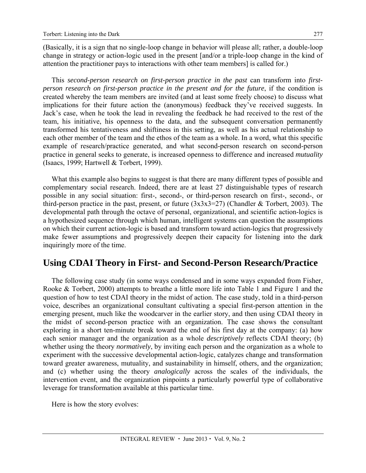(Basically, it is a sign that no single-loop change in behavior will please all; rather, a double-loop change in strategy or action-logic used in the present [and/or a triple-loop change in the kind of attention the practitioner pays to interactions with other team members] is called for.)

This *second-person research on first-person practice in the past* can transform into *firstperson research on first-person practice in the present and for the future*, if the condition is created whereby the team members are invited (and at least some freely choose) to discuss what implications for their future action the (anonymous) feedback they've received suggests. In Jack's case, when he took the lead in revealing the feedback he had received to the rest of the team, his initiative, his openness to the data, and the subsequent conversation permanently transformed his tentativeness and shiftiness in this setting, as well as his actual relationship to each other member of the team and the ethos of the team as a whole. In a word, what this specific example of research/practice generated, and what second-person research on second-person practice in general seeks to generate, is increased openness to difference and increased *mutuality* (Isaacs, 1999; Hartwell & Torbert, 1999).

What this example also begins to suggest is that there are many different types of possible and complementary social research. Indeed, there are at least 27 distinguishable types of research possible in any social situation: first-, second-, or third-person research on first-, second-, or third-person practice in the past, present, or future  $(3x3x3=27)$  (Chandler & Torbert, 2003). The developmental path through the octave of personal, organizational, and scientific action-logics is a hypothesized sequence through which human, intelligent systems can question the assumptions on which their current action-logic is based and transform toward action-logics that progressively make fewer assumptions and progressively deepen their capacity for listening into the dark inquiringly more of the time.

### **Using CDAI Theory in First- and Second-Person Research/Practice**

The following case study (in some ways condensed and in some ways expanded from Fisher, Rooke & Torbert, 2000) attempts to breathe a little more life into Table 1 and Figure 1 and the question of how to test CDAI theory in the midst of action. The case study, told in a third-person voice, describes an organizational consultant cultivating a special first-person attention in the emerging present, much like the woodcarver in the earlier story, and then using CDAI theory in the midst of second-person practice with an organization. The case shows the consultant exploring in a short ten-minute break toward the end of his first day at the company: (a) how each senior manager and the organization as a whole *descriptively* reflects CDAI theory; (b) whether using the theory *normatively*, by inviting each person and the organization as a whole to experiment with the successive developmental action-logic, catalyzes change and transformation toward greater awareness, mutuality, and sustainability in himself, others, and the organization; and (c) whether using the theory *analogically* across the scales of the individuals, the intervention event, and the organization pinpoints a particularly powerful type of collaborative leverage for transformation available at this particular time.

Here is how the story evolves: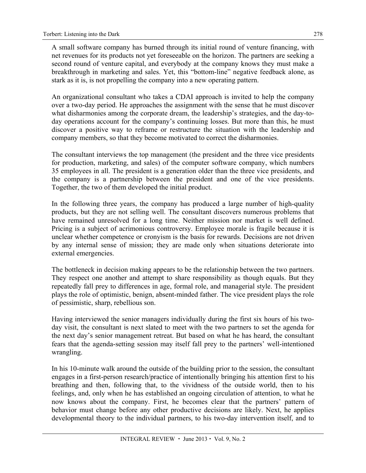A small software company has burned through its initial round of venture financing, with net revenues for its products not yet foreseeable on the horizon. The partners are seeking a second round of venture capital, and everybody at the company knows they must make a breakthrough in marketing and sales. Yet, this "bottom-line" negative feedback alone, as stark as it is, is not propelling the company into a new operating pattern.

An organizational consultant who takes a CDAI approach is invited to help the company over a two-day period. He approaches the assignment with the sense that he must discover what disharmonies among the corporate dream, the leadership's strategies, and the day-today operations account for the company's continuing losses. But more than this, he must discover a positive way to reframe or restructure the situation with the leadership and company members, so that they become motivated to correct the disharmonies.

The consultant interviews the top management (the president and the three vice presidents for production, marketing, and sales) of the computer software company, which numbers 35 employees in all. The president is a generation older than the three vice presidents, and the company is a partnership between the president and one of the vice presidents. Together, the two of them developed the initial product.

In the following three years, the company has produced a large number of high-quality products, but they are not selling well. The consultant discovers numerous problems that have remained unresolved for a long time. Neither mission nor market is well defined. Pricing is a subject of acrimonious controversy. Employee morale is fragile because it is unclear whether competence or cronyism is the basis for rewards. Decisions are not driven by any internal sense of mission; they are made only when situations deteriorate into external emergencies.

The bottleneck in decision making appears to be the relationship between the two partners. They respect one another and attempt to share responsibility as though equals. But they repeatedly fall prey to differences in age, formal role, and managerial style. The president plays the role of optimistic, benign, absent-minded father. The vice president plays the role of pessimistic, sharp, rebellious son.

Having interviewed the senior managers individually during the first six hours of his twoday visit, the consultant is next slated to meet with the two partners to set the agenda for the next day's senior management retreat. But based on what he has heard, the consultant fears that the agenda-setting session may itself fall prey to the partners' well-intentioned wrangling.

In his 10-minute walk around the outside of the building prior to the session, the consultant engages in a first-person research/practice of intentionally bringing his attention first to his breathing and then, following that, to the vividness of the outside world, then to his feelings, and, only when he has established an ongoing circulation of attention, to what he now knows about the company. First, he becomes clear that the partners' pattern of behavior must change before any other productive decisions are likely. Next, he applies developmental theory to the individual partners, to his two-day intervention itself, and to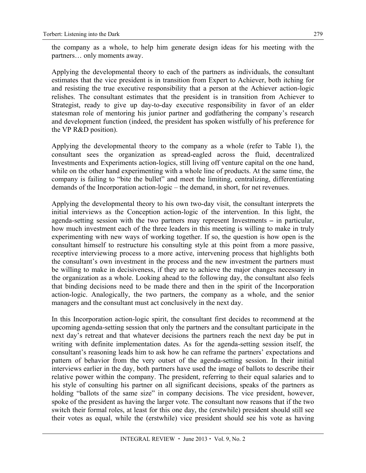the company as a whole, to help him generate design ideas for his meeting with the partners… only moments away.

Applying the developmental theory to each of the partners as individuals, the consultant estimates that the vice president is in transition from Expert to Achiever, both itching for and resisting the true executive responsibility that a person at the Achiever action-logic relishes. The consultant estimates that the president is in transition from Achiever to Strategist, ready to give up day-to-day executive responsibility in favor of an elder statesman role of mentoring his junior partner and godfathering the company's research and development function (indeed, the president has spoken wistfully of his preference for the VP R&D position).

Applying the developmental theory to the company as a whole (refer to Table 1), the consultant sees the organization as spread-eagled across the fluid, decentralized Investments and Experiments action-logics, still living off venture capital on the one hand, while on the other hand experimenting with a whole line of products. At the same time, the company is failing to "bite the bullet" and meet the limiting, centralizing, differentiating demands of the Incorporation action-logic – the demand, in short, for net revenues.

Applying the developmental theory to his own two-day visit, the consultant interprets the initial interviews as the Conception action-logic of the intervention. In this light, the agenda-setting session with the two partners may represent Investments **–** in particular, how much investment each of the three leaders in this meeting is willing to make in truly experimenting with new ways of working together. If so, the question is how open is the consultant himself to restructure his consulting style at this point from a more passive, receptive interviewing process to a more active, intervening process that highlights both the consultant's own investment in the process and the new investment the partners must be willing to make in decisiveness, if they are to achieve the major changes necessary in the organization as a whole. Looking ahead to the following day, the consultant also feels that binding decisions need to be made there and then in the spirit of the Incorporation action-logic. Analogically, the two partners, the company as a whole, and the senior managers and the consultant must act conclusively in the next day.

In this Incorporation action-logic spirit, the consultant first decides to recommend at the upcoming agenda-setting session that only the partners and the consultant participate in the next day's retreat and that whatever decisions the partners reach the next day be put in writing with definite implementation dates. As for the agenda-setting session itself, the consultant's reasoning leads him to ask how he can reframe the partners' expectations and pattern of behavior from the very outset of the agenda-setting session. In their initial interviews earlier in the day, both partners have used the image of ballots to describe their relative power within the company. The president, referring to their equal salaries and to his style of consulting his partner on all significant decisions, speaks of the partners as holding "ballots of the same size" in company decisions. The vice president, however, spoke of the president as having the larger vote. The consultant now reasons that if the two switch their formal roles, at least for this one day, the (erstwhile) president should still see their votes as equal, while the (erstwhile) vice president should see his vote as having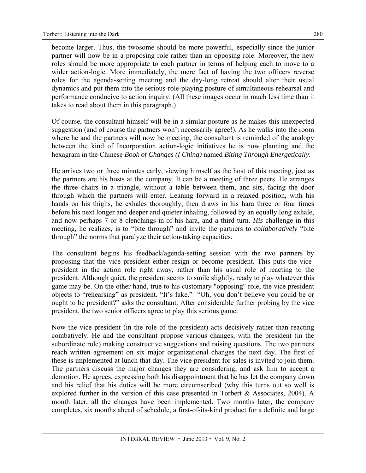become larger. Thus, the twosome should be more powerful, especially since the junior partner will now be in a proposing role rather than an opposing role. Moreover, the new roles should be more appropriate to each partner in terms of helping each to move to a wider action-logic. More immediately, the mere fact of having the two officers reverse roles for the agenda-setting meeting and the day-long retreat should alter their usual dynamics and put them into the serious-role-playing posture of simultaneous rehearsal and performance conducive to action inquiry. (All these images occur in much less time than it takes to read about them in this paragraph.)

Of course, the consultant himself will be in a similar posture as he makes this unexpected suggestion (and of course the partners won't necessarily agree!). As he walks into the room where he and the partners will now be meeting, the consultant is reminded of the analogy between the kind of Incorporation action-logic initiatives he is now planning and the hexagram in the Chinese *Book of Changes (I Ching)* named *Biting Through Energetically.* 

He arrives two or three minutes early, viewing himself as the host of this meeting, just as the partners are his hosts at the company. It can be a meeting of three peers. He arranges the three chairs in a triangle, without a table between them, and sits, facing the door through which the partners will enter. Leaning forward in a relaxed position, with his hands on his thighs, he exhales thoroughly, then draws in his hara three or four times before his next longer and deeper and quieter inhaling, followed by an equally long exhale, and now perhaps 7 or 8 clenchings-in-of-his-hara, and a third turn. *His* challenge in this meeting, he realizes, is to "bite through" and invite the partners to *collaboratively* "bite through" the norms that paralyze their action-taking capacities.

The consultant begins his feedback/agenda-setting session with the two partners by proposing that the vice president either resign or become president. This puts the vicepresident in the action role right away, rather than his usual role of reacting to the president. Although quiet, the president seems to smile slightly, ready to play whatever this game may be. On the other hand, true to his customary "opposing" role, the vice president objects to "rehearsing" as president. "It's fake." "Oh, you don't believe you could be or ought to be president?" asks the consultant. After considerable further probing by the vice president, the two senior officers agree to play this serious game.

Now the vice president (in the role of the president) acts decisively rather than reacting combatively. He and the consultant propose various changes, with the president (in the subordinate role) making constructive suggestions and raising questions. The two partners reach written agreement on six major organizational changes the next day. The first of these is implemented at lunch that day. The vice president for sales is invited to join them. The partners discuss the major changes they are considering, and ask him to accept a demotion. He agrees, expressing both his disappointment that he has let the company down and his relief that his duties will be more circumscribed (why this turns out so well is explored further in the version of this case presented in Torbert & Associates, 2004). A month later, all the changes have been implemented. Two months later, the company completes, six months ahead of schedule, a first-of-its-kind product for a definite and large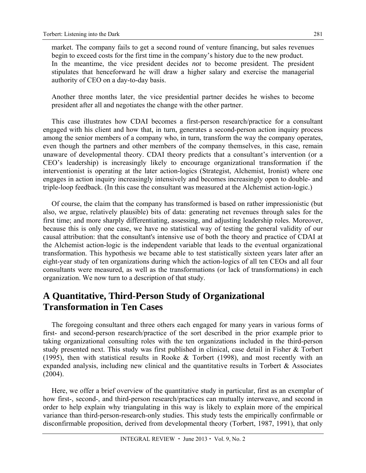market. The company fails to get a second round of venture financing, but sales revenues begin to exceed costs for the first time in the company's history due to the new product. In the meantime, the vice president decides *not* to become president. The president stipulates that henceforward he will draw a higher salary and exercise the managerial authority of CEO on a day-to-day basis.

Another three months later, the vice presidential partner decides he wishes to become president after all and negotiates the change with the other partner.

This case illustrates how CDAI becomes a first-person research/practice for a consultant engaged with his client and how that, in turn, generates a second-person action inquiry process among the senior members of a company who, in turn, transform the way the company operates, even though the partners and other members of the company themselves, in this case, remain unaware of developmental theory. CDAI theory predicts that a consultant's intervention (or a CEO's leadership) is increasingly likely to encourage organizational transformation if the interventionist is operating at the later action-logics (Strategist, Alchemist, Ironist) where one engages in action inquiry increasingly intensively and becomes increasingly open to double- and triple-loop feedback. (In this case the consultant was measured at the Alchemist action-logic.)

Of course, the claim that the company has transformed is based on rather impressionistic (but also, we argue, relatively plausible) bits of data: generating net revenues through sales for the first time; and more sharply differentiating, assessing, and adjusting leadership roles. Moreover, because this is only one case, we have no statistical way of testing the general validity of our causal attribution: that the consultant's intensive use of both the theory and practice of CDAI at the Alchemist action-logic is the independent variable that leads to the eventual organizational transformation. This hypothesis we became able to test statistically sixteen years later after an eight-year study of ten organizations during which the action-logics of all ten CEOs and all four consultants were measured, as well as the transformations (or lack of transformations) in each organization. We now turn to a description of that study.

## **A Quantitative, Third-Person Study of Organizational Transformation in Ten Cases**

The foregoing consultant and three others each engaged for many years in various forms of first- and second-person research/practice of the sort described in the prior example prior to taking organizational consulting roles with the ten organizations included in the third-person study presented next. This study was first published in clinical, case detail in Fisher & Torbert (1995), then with statistical results in Rooke & Torbert (1998), and most recently with an expanded analysis, including new clinical and the quantitative results in Torbert  $\&$  Associates (2004).

Here, we offer a brief overview of the quantitative study in particular, first as an exemplar of how first-, second-, and third-person research/practices can mutually interweave, and second in order to help explain why triangulating in this way is likely to explain more of the empirical variance than third-person-research-only studies. This study tests the empirically confirmable or disconfirmable proposition, derived from developmental theory (Torbert, 1987, 1991), that only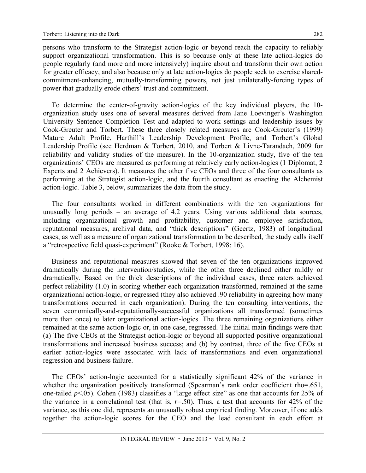persons who transform to the Strategist action-logic or beyond reach the capacity to reliably support organizational transformation. This is so because only at these late action-logics do people regularly (and more and more intensively) inquire about and transform their own action for greater efficacy, and also because only at late action-logics do people seek to exercise sharedcommitment-enhancing, mutually-transforming powers, not just unilaterally-forcing types of power that gradually erode others' trust and commitment.

To determine the center-of-gravity action-logics of the key individual players, the 10 organization study uses one of several measures derived from Jane Loevinger's Washington University Sentence Completion Test and adapted to work settings and leadership issues by Cook-Greuter and Torbert. These three closely related measures are Cook-Greuter's (1999) Mature Adult Profile, Harthill's Leadership Development Profile, and Torbert's Global Leadership Profile (see Herdman & Torbert, 2010, and Torbert & Livne-Tarandach, 2009 for reliability and validity studies of the measure). In the 10-organization study, five of the ten organizations' CEOs are measured as performing at relatively early action-logics (1 Diplomat, 2 Experts and 2 Achievers). It measures the other five CEOs and three of the four consultants as performing at the Strategist action-logic, and the fourth consultant as enacting the Alchemist action-logic. Table 3, below, summarizes the data from the study.

The four consultants worked in different combinations with the ten organizations for unusually long periods – an average of 4.2 years. Using various additional data sources, including organizational growth and profitability, customer and employee satisfaction, reputational measures, archival data, and "thick descriptions" (Geertz, 1983) of longitudinal cases, as well as a measure of organizational transformation to be described, the study calls itself a "retrospective field quasi-experiment" (Rooke & Torbert, 1998: 16).

Business and reputational measures showed that seven of the ten organizations improved dramatically during the intervention/studies, while the other three declined either mildly or dramatically. Based on the thick descriptions of the individual cases, three raters achieved perfect reliability (1.0) in scoring whether each organization transformed, remained at the same organizational action-logic, or regressed (they also achieved .90 reliability in agreeing how many transformations occurred in each organization). During the ten consulting interventions, the seven economically-and-reputationally-successful organizations all transformed (sometimes more than once) to later organizational action-logics. The three remaining organizations either remained at the same action-logic or, in one case, regressed. The initial main findings were that: (a) The five CEOs at the Strategist action-logic or beyond all supported positive organizational transformations and increased business success; and (b) by contrast, three of the five CEOs at earlier action-logics were associated with lack of transformations and even organizational regression and business failure.

The CEOs' action-logic accounted for a statistically significant 42% of the variance in whether the organization positively transformed (Spearman's rank order coefficient rho=.651, one-tailed *p*<.05). Cohen (1983) classifies a "large effect size" as one that accounts for 25% of the variance in a correlational test (that is,  $r=0.50$ ). Thus, a test that accounts for 42% of the variance, as this one did, represents an unusually robust empirical finding. Moreover, if one adds together the action-logic scores for the CEO and the lead consultant in each effort at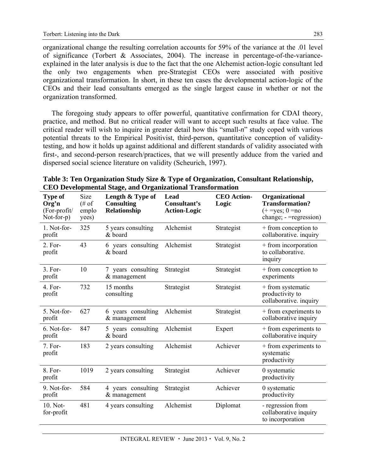organizational change the resulting correlation accounts for 59% of the variance at the .01 level of significance (Torbert & Associates, 2004). The increase in percentage-of-the-varianceexplained in the later analysis is due to the fact that the one Alchemist action-logic consultant led the only two engagements when pre-Strategist CEOs were associated with positive organizational transformation. In short, in these ten cases the developmental action-logic of the CEOs and their lead consultants emerged as the single largest cause in whether or not the organization transformed.

The foregoing study appears to offer powerful, quantitative confirmation for CDAI theory, practice, and method. But no critical reader will want to accept such results at face value. The critical reader will wish to inquire in greater detail how this "small-*n*" study coped with various potential threats to the Empirical Positivist, third-person, quantitative conception of validitytesting, and how it holds up against additional and different standards of validity associated with first-, and second-person research/practices, that we will presently adduce from the varied and dispersed social science literature on validity (Scheurich, 1997).

| Type of<br>Org'n<br>$(For-profit/$<br>$Not-for-p)$ | Size<br>$(\# \text{ of }$<br>emplo<br>yees) | ето реторисны элест от сандалонат таноготналон<br>Length & Type of<br><b>Consulting</b><br>Relationship | Lead<br>Consultant's<br><b>Action-Logic</b> | <b>CEO</b> Action-<br>Logic | Organizational<br><b>Transformation?</b><br>$(+ = yes; 0 = no$<br>$change$ ; - = regression) |
|----------------------------------------------------|---------------------------------------------|---------------------------------------------------------------------------------------------------------|---------------------------------------------|-----------------------------|----------------------------------------------------------------------------------------------|
| 1. Not-for-<br>profit                              | 325                                         | 5 years consulting<br>& board                                                                           | Alchemist                                   | Strategist                  | + from conception to<br>collaborative. inquiry                                               |
| $2. For-$<br>profit                                | 43                                          | 6 years consulting<br>& board                                                                           | Alchemist                                   | Strategist                  | + from incorporation<br>to collaborative.<br>inquiry                                         |
| 3. For-<br>profit                                  | 10                                          | 7 years consulting<br>& management                                                                      | Strategist                                  | Strategist                  | + from conception to<br>experiments                                                          |
| $4. For-$<br>profit                                | 732                                         | 15 months<br>consulting                                                                                 | Strategist                                  | Strategist                  | + from systematic<br>productivity to<br>collaborative. inquiry                               |
| 5. Not-for-<br>profit                              | 627                                         | 6 years consulting<br>& management                                                                      | Alchemist                                   | Strategist                  | + from experiments to<br>collaborative inquiry                                               |
| 6. Not-for-<br>profit                              | 847                                         | 5 years consulting<br>& board                                                                           | Alchemist                                   | Expert                      | + from experiments to<br>collaborative inquiry                                               |
| 7. For-<br>profit                                  | 183                                         | 2 years consulting                                                                                      | Alchemist                                   | Achiever                    | + from experiments to<br>systematic<br>productivity                                          |
| 8. For-<br>profit                                  | 1019                                        | 2 years consulting                                                                                      | Strategist                                  | Achiever                    | 0 systematic<br>productivity                                                                 |
| 9. Not-for-<br>profit                              | 584                                         | 4 years consulting<br>& management                                                                      | Strategist                                  | Achiever                    | 0 systematic<br>productivity                                                                 |
| 10. Not-<br>for-profit                             | 481                                         | 4 years consulting                                                                                      | Alchemist                                   | Diplomat                    | - regression from<br>collaborative inquiry<br>to incorporation                               |

**Table 3: Ten Organization Study Size & Type of Organization, Consultant Relationship, CEO Developmental Stage, and Organizational Transformation**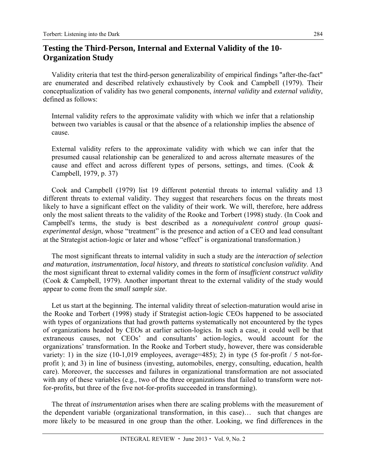### **Testing the Third-Person, Internal and External Validity of the 10- Organization Study**

Validity criteria that test the third-person generalizability of empirical findings "after-the-fact" are enumerated and described relatively exhaustively by Cook and Campbell (1979). Their conceptualization of validity has two general components, *internal validity* and *external validity*, defined as follows:

Internal validity refers to the approximate validity with which we infer that a relationship between two variables is causal or that the absence of a relationship implies the absence of cause.

External validity refers to the approximate validity with which we can infer that the presumed causal relationship can be generalized to and across alternate measures of the cause and effect and across different types of persons, settings, and times. (Cook & Campbell, 1979, p. 37)

Cook and Campbell (1979) list 19 different potential threats to internal validity and 13 different threats to external validity. They suggest that researchers focus on the threats most likely to have a significant effect on the validity of their work. We will, therefore, here address only the most salient threats to the validity of the Rooke and Torbert (1998) study. (In Cook and Campbell's terms, the study is best described as a *nonequivalent control group quasiexperimental design*, whose "treatment" is the presence and action of a CEO and lead consultant at the Strategist action-logic or later and whose "effect" is organizational transformation.)

The most significant threats to internal validity in such a study are the *interaction of selection and maturation*, *instrumentation*, *local history*, and *threats to statistical conclusion validity*. And the most significant threat to external validity comes in the form of *insufficient construct validity* (Cook & Campbell, 1979). Another important threat to the external validity of the study would appear to come from the *small sample size*.

Let us start at the beginning. The internal validity threat of selection-maturation would arise in the Rooke and Torbert (1998) study if Strategist action-logic CEOs happened to be associated with types of organizations that had growth patterns systematically not encountered by the types of organizations headed by CEOs at earlier action-logics. In such a case, it could well be that extraneous causes, not CEOs' and consultants' action-logics, would account for the organizations' transformation. In the Rooke and Torbert study, however, there was considerable variety: 1) in the size  $(10-1,019)$  employees, average=485); 2) in type  $(5$  for-profit  $/ 5$  not-forprofit ); and 3) in line of business (investing, automobiles, energy, consulting, education, health care). Moreover, the successes and failures in organizational transformation are not associated with any of these variables (e.g., two of the three organizations that failed to transform were notfor-profits, but three of the five not-for-profits succeeded in transforming).

The threat of *instrumentation* arises when there are scaling problems with the measurement of the dependent variable (organizational transformation, in this case)… such that changes are more likely to be measured in one group than the other. Looking, we find differences in the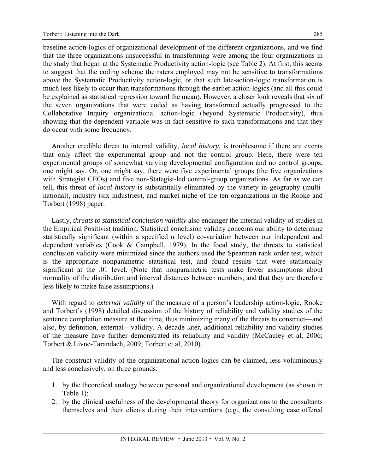baseline action-logics of organizational development of the different organizations, and we find that the three organizations unsuccessful in transforming were among the four organizations in the study that began at the Systematic Productivity action-logic (see Table 2). At first, this seems to suggest that the coding scheme the raters employed may not be sensitive to transformations above the Systematic Productivity action-logic, or that such late-action-logic transformation is much less likely to occur than transformations through the earlier action-logics (and all this could be explained as statistical regression toward the mean). However, a closer look reveals that six of the seven organizations that were coded as having transformed actually progressed to the Collaborative Inquiry organizational action-logic (beyond Systematic Productivity), thus showing that the dependent variable was in fact sensitive to such transformations and that they do occur with some frequency.

Another credible threat to internal validity, *local history*, is troublesome if there are events that only affect the experimental group and not the control group. Here, there were ten experimental groups of somewhat varying developmental configuration and no control groups, one might say. Or, one might say, there were five experimental groups (the five organizations with Strategist CEOs) and five non-Stategist-led control-group organizations. As far as we can tell, this threat of *local history* is substantially eliminated by the variety in geography (multinational), industry (six industries), and market niche of the ten organizations in the Rooke and Torbert (1998) paper.

Lastly, *threats to statistical conclusion validity* also endanger the internal validity of studies in the Empirical Positivist tradition. Statistical conclusion validity concerns our ability to determine statistically significant (within a specified  $\alpha$  level) co-variation between our independent and dependent variables (Cook & Campbell, 1979). In the focal study, the threats to statistical conclusion validity were minimized since the authors used the Spearman rank order test, which is the appropriate nonparametric statistical test, and found results that were statistically significant at the .01 level. (Note that nonparametric tests make fewer assumptions about normality of the distribution and interval distances between numbers, and that they are therefore less likely to make false assumptions.)

With regard to *external validity* of the measure of a person's leadership action-logic, Rooke and Torbert's (1998) detailed discussion of the history of reliability and validity studies of the sentence completion measure at that time, thus minimizing many of the threats to construct—and also, by definition, external—validity. A decade later, additional reliability and validity studies of the measure have further demonstrated its reliability and validity (McCauley et al, 2006; Torbert & Livne-Tarandach, 2009; Torbert et al, 2010).

The construct validity of the organizational action-logics can be claimed, less voluminously and less conclusively, on three grounds:

- 1. by the theoretical analogy between personal and organizational development (as shown in Table 1);
- 2. by the clinical usefulness of the developmental theory for organizations to the consultants themselves and their clients during their interventions (e.g., the consulting case offered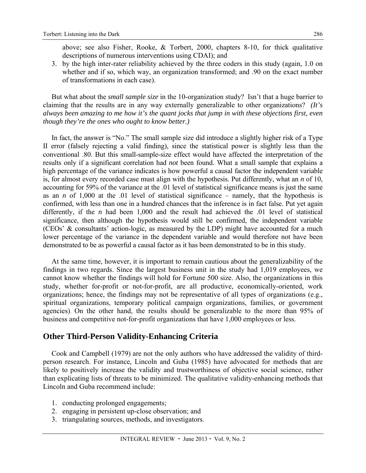above; see also Fisher, Rooke, & Torbert, 2000, chapters 8-10, for thick qualitative descriptions of numerous interventions using CDAI); and

286

3. by the high inter-rater reliability achieved by the three coders in this study (again, 1.0 on whether and if so, which way, an organization transformed; and .90 on the exact number of transformations in each case).

But what about the *small sample size* in the 10-organization study? Isn't that a huge barrier to claiming that the results are in any way externally generalizable to other organizations? *(It's always been amazing to me how it's the quant jocks that jump in with these objections first, even though they're the ones who ought to know better.)*

In fact, the answer is "No." The small sample size did introduce a slightly higher risk of a Type II error (falsely rejecting a valid finding), since the statistical power is slightly less than the conventional .80. But this small-sample-size effect would have affected the interpretation of the results only if a significant correlation had *not* been found. What a small sample that explains a high percentage of the variance indicates is how powerful a causal factor the independent variable is, for almost every recorded case must align with the hypothesis. Put differently, what an *n* of 10, accounting for 59% of the variance at the .01 level of statistical significance means is just the same as an *n* of 1,000 at the .01 level of statistical significance – namely, that the hypothesis is confirmed, with less than one in a hundred chances that the inference is in fact false. Put yet again differently, if the *n* had been 1,000 and the result had achieved the .01 level of statistical significance, then although the hypothesis would still be confirmed, the independent variable (CEOs' & consultants' action-logic, as measured by the LDP) might have accounted for a much lower percentage of the variance in the dependent variable and would therefore not have been demonstrated to be as powerful a causal factor as it has been demonstrated to be in this study.

At the same time, however, it is important to remain cautious about the generalizability of the findings in two regards. Since the largest business unit in the study had 1,019 employees, we cannot know whether the findings will hold for Fortune 500 size. Also, the organizations in this study, whether for-profit or not-for-profit, are all productive, economically-oriented, work organizations; hence, the findings may not be representative of all types of organizations (e.g., spiritual organizations, temporary political campaign organizations, families, or government agencies). On the other hand, the results should be generalizable to the more than 95% of business and competitive not-for-profit organizations that have 1,000 employees or less.

#### **Other Third-Person Validity-Enhancing Criteria**

Cook and Campbell (1979) are not the only authors who have addressed the validity of thirdperson research. For instance, Lincoln and Guba (1985) have advocated for methods that are likely to positively increase the validity and trustworthiness of objective social science, rather than explicating lists of threats to be minimized. The qualitative validity-enhancing methods that Lincoln and Guba recommend include:

- 1. conducting prolonged engagements;
- 2. engaging in persistent up-close observation; and
- 3. triangulating sources, methods, and investigators.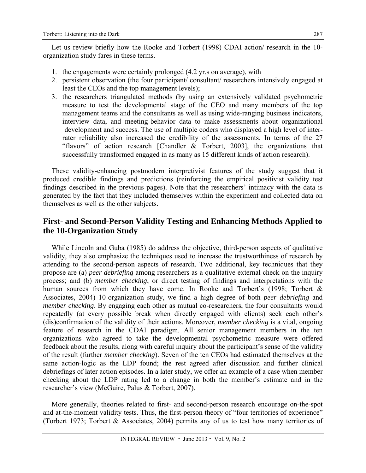Let us review briefly how the Rooke and Torbert (1998) CDAI action/ research in the 10 organization study fares in these terms.

- 1. the engagements were certainly prolonged (4.2 yr.s on average), with
- 2. persistent observation (the four participant/ consultant/ researchers intensively engaged at least the CEOs and the top management levels);
- 3. the researchers triangulated methods (by using an extensively validated psychometric measure to test the developmental stage of the CEO and many members of the top management teams and the consultants as well as using wide-ranging business indicators, interview data, and meeting-behavior data to make assessments about organizational development and success. The use of multiple coders who displayed a high level of interrater reliability also increased the credibility of the assessments. In terms of the 27 "flavors" of action research [Chandler & Torbert, 2003], the organizations that successfully transformed engaged in as many as 15 different kinds of action research).

These validity-enhancing postmodern interpretivist features of the study suggest that it produced credible findings and predictions (reinforcing the empirical positivist validity test findings described in the previous pages). Note that the researchers' intimacy with the data is generated by the fact that they included themselves within the experiment and collected data on themselves as well as the other subjects.

### **First- and Second-Person Validity Testing and Enhancing Methods Applied to the 10-Organization Study**

While Lincoln and Guba (1985) do address the objective, third-person aspects of qualitative validity, they also emphasize the techniques used to increase the trustworthiness of research by attending to the second-person aspects of research. Two additional, key techniques that they propose are (a) *peer debriefing* among researchers as a qualitative external check on the inquiry process; and (b) *member checking*, or direct testing of findings and interpretations with the human sources from which they have come. In Rooke and Torbert's (1998; Torbert & Associates, 2004) 10-organization study, we find a high degree of both *peer debriefing* and *member checking*. By engaging each other as mutual co-researchers, the four consultants would repeatedly (at every possible break when directly engaged with clients) seek each other's (dis)confirmation of the validity of their actions. Moreover, *member checking* is a vital, ongoing feature of research in the CDAI paradigm. All senior management members in the ten organizations who agreed to take the developmental psychometric measure were offered feedback about the results, along with careful inquiry about the participant's sense of the validity of the result (further *member checking*). Seven of the ten CEOs had estimated themselves at the same action-logic as the LDP found; the rest agreed after discussion and further clinical debriefings of later action episodes. In a later study, we offer an example of a case when member checking about the LDP rating led to a change in both the member's estimate and in the researcher's view (McGuire, Palus & Torbert, 2007).

More generally, theories related to first- and second-person research encourage on-the-spot and at-the-moment validity tests. Thus, the first-person theory of "four territories of experience" (Torbert 1973; Torbert & Associates, 2004) permits any of us to test how many territories of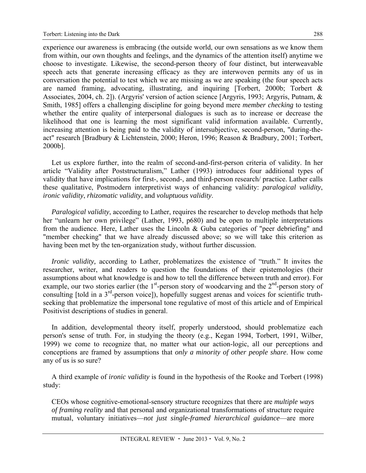experience our awareness is embracing (the outside world, our own sensations as we know them from within, our own thoughts and feelings, and the dynamics of the attention itself) anytime we choose to investigate. Likewise, the second-person theory of four distinct, but interweavable speech acts that generate increasing efficacy as they are interwoven permits any of us in conversation the potential to test which we are missing as we are speaking (the four speech acts are named framing, advocating, illustrating, and inquiring [Torbert, 2000b; Torbert & Associates, 2004, ch. 2]). (Argyris' version of action science [Argyris, 1993; Argyris, Putnam, & Smith, 1985] offers a challenging discipline for going beyond mere *member checking* to testing whether the entire quality of interpersonal dialogues is such as to increase or decrease the likelihood that one is learning the most significant valid information available. Currently, increasing attention is being paid to the validity of intersubjective, second-person, "during-theact" research [Bradbury & Lichtenstein, 2000; Heron, 1996; Reason & Bradbury, 2001; Torbert, 2000b].

Let us explore further, into the realm of second-and-first-person criteria of validity. In her article "Validity after Poststructuralism," Lather (1993) introduces four additional types of validity that have implications for first-, second-, and third-person research/ practice. Lather calls these qualitative, Postmodern interpretivist ways of enhancing validity: *paralogical validity*, *ironic validity*, *rhizomatic validity*, and *voluptuous validity*.

*Paralogical validity*, according to Lather, requires the researcher to develop methods that help her "unlearn her own privilege" (Lather, 1993, p680) and be open to multiple interpretations from the audience. Here, Lather uses the Lincoln & Guba categories of "peer debriefing" and "member checking" that we have already discussed above; so we will take this criterion as having been met by the ten-organization study, without further discussion.

*Ironic validity, according to Lather, problematizes the existence of "truth." It invites the* researcher, writer, and readers to question the foundations of their epistemologies (their assumptions about what knowledge is and how to tell the difference between truth and error). For example, our two stories earlier (the  $1<sup>st</sup>$ -person story of woodcarving and the  $2<sup>nd</sup>$ -person story of consulting [told in a 3<sup>rd</sup>-person voice]), hopefully suggest arenas and voices for scientific truthseeking that problematize the impersonal tone regulative of most of this article and of Empirical Positivist descriptions of studies in general.

In addition, developmental theory itself, properly understood, should problematize each person's sense of truth. For, in studying the theory (e.g., Kegan 1994, Torbert, 1991, Wilber, 1999) we come to recognize that, no matter what our action-logic, all our perceptions and conceptions are framed by assumptions that *only a minority of other people share*. How come any of us is so sure?

A third example of *ironic validity* is found in the hypothesis of the Rooke and Torbert (1998) study:

CEOs whose cognitive-emotional-sensory structure recognizes that there are *multiple ways of framing reality* and that personal and organizational transformations of structure require mutual, voluntary initiatives—*not just single-framed hierarchical guidance*—are more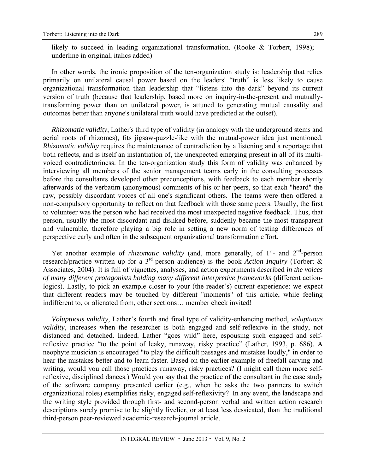likely to succeed in leading organizational transformation. (Rooke & Torbert, 1998); underline in original, italics added)

In other words, the ironic proposition of the ten-organization study is: leadership that relies primarily on unilateral causal power based on the leaders' "truth" is less likely to cause organizational transformation than leadership that "listens into the dark" beyond its current version of truth (because that leadership, based more on inquiry-in-the-present and mutuallytransforming power than on unilateral power, is attuned to generating mutual causality and outcomes better than anyone's unilateral truth would have predicted at the outset).

*Rhizomatic validity*, Lather's third type of validity (in analogy with the underground stems and aerial roots of rhizomes), fits jigsaw-puzzle-like with the mutual-power idea just mentioned. *Rhizomatic validity* requires the maintenance of contradiction by a listening and a reportage that both reflects, and is itself an instantiation of, the unexpected emerging present in all of its multivoiced contradictoriness. In the ten-organization study this form of validity was enhanced by interviewing all members of the senior management teams early in the consulting processes before the consultants developed other preconceptions, with feedback to each member shortly afterwards of the verbatim (anonymous) comments of his or her peers, so that each "heard" the raw, possibly discordant voices of all one's significant others. The teams were then offered a non-compulsory opportunity to reflect on that feedback with those same peers. Usually, the first to volunteer was the person who had received the most unexpected negative feedback. Thus, that person, usually the most discordant and disliked before, suddenly became the most transparent and vulnerable, therefore playing a big role in setting a new norm of testing differences of perspective early and often in the subsequent organizational transformation effort.

Yet another example of *rhizomatic validity* (and, more generally, of 1<sup>st</sup>- and 2<sup>nd</sup>-person research/practice written up for a 3rd-person audience) is the book *Action Inquiry* (Torbert & Associates, 2004). It is full of vignettes, analyses, and action experiments described *in the voices of many different protagonists holding many different interpretive frameworks* (different actionlogics). Lastly, to pick an example closer to your (the reader's) current experience: we expect that different readers may be touched by different "moments" of this article, while feeling indifferent to, or alienated from, other sections… member check invited!

*Voluptuous validity*, Lather's fourth and final type of validity-enhancing method, *voluptuous validity*, increases when the researcher is both engaged and self-reflexive in the study, not distanced and detached. Indeed, Lather "goes wild" here, espousing such engaged and selfreflexive practice "to the point of leaky, runaway, risky practice" (Lather, 1993, p. 686). A neophyte musician is encouraged "to play the difficult passages and mistakes loudly," in order to hear the mistakes better and to learn faster. Based on the earlier example of freefall carving and writing, would you call those practices runaway, risky practices? (I might call them more selfreflexive, disciplined dances.) Would you say that the practice of the consultant in the case study of the software company presented earlier (e.g., when he asks the two partners to switch organizational roles) exemplifies risky, engaged self-reflexivity? In any event, the landscape and the writing style provided through first- and second-person verbal and written action research descriptions surely promise to be slightly livelier, or at least less dessicated, than the traditional third-person peer-reviewed academic-research-journal article.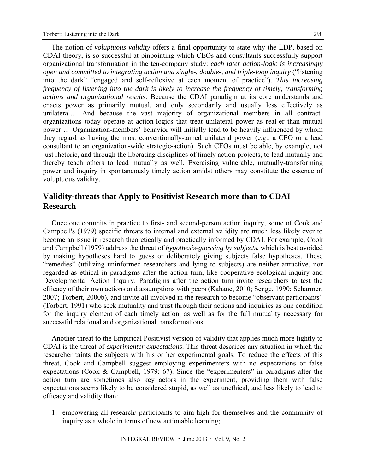The notion of *voluptuous validity* offers a final opportunity to state why the LDP, based on CDAI theory, is so successful at pinpointing which CEOs and consultants successfully support organizational transformation in the ten-company study: *each later action-logic is increasingly open and committed to integrating action and single-, double-, and triple-loop inquiry* ("listening into the dark" "engaged and self-reflexive at each moment of practice"). *This increasing frequency of listening into the dark is likely to increase the frequency of timely, transforming actions and organizational results.* Because the CDAI paradigm at its core understands and enacts power as primarily mutual, and only secondarily and usually less effectively as unilateral… And because the vast majority of organizational members in all contractorganizations today operate at action-logics that treat unilateral power as real-er than mutual power… Organization-members' behavior will initially tend to be heavily influenced by whom they regard as having the most conventionally-tamed unilateral power (e.g., a CEO or a lead consultant to an organization-wide strategic-action). Such CEOs must be able, by example, not just rhetoric, and through the liberating disciplines of timely action-projects, to lead mutually and thereby teach others to lead mutually as well. Exercising vulnerable, mutually-transforming power and inquiry in spontaneously timely action amidst others may constitute the essence of voluptuous validity.

### **Validity-threats that Apply to Positivist Research more than to CDAI Research**

Once one commits in practice to first- and second-person action inquiry, some of Cook and Campbell's (1979) specific threats to internal and external validity are much less likely ever to become an issue in research theoretically and practically informed by CDAI. For example, Cook and Campbell (1979) address the threat of *hypothesis-guessing by subjects*, which is best avoided by making hypotheses hard to guess or deliberately giving subjects false hypotheses. These "remedies" (utilizing uninformed researchers and lying to subjects) are neither attractive, nor regarded as ethical in paradigms after the action turn, like cooperative ecological inquiry and Developmental Action Inquiry. Paradigms after the action turn invite researchers to test the efficacy of their own actions and assumptions with peers (Kahane, 2010; Senge, 1990; Scharmer, 2007; Torbert, 2000b), and invite all involved in the research to become "observant participants" (Torbert, 1991) who seek mutuality and trust through their actions and inquiries as one condition for the inquiry element of each timely action, as well as for the full mutuality necessary for successful relational and organizational transformations.

Another threat to the Empirical Positivist version of validity that applies much more lightly to CDAI is the threat of *experimenter expectations*. This threat describes any situation in which the researcher taints the subjects with his or her experimental goals. To reduce the effects of this threat, Cook and Campbell suggest employing experimenters with no expectations or false expectations (Cook & Campbell, 1979: 67). Since the "experimenters" in paradigms after the action turn are sometimes also key actors in the experiment, providing them with false expectations seems likely to be considered stupid, as well as unethical, and less likely to lead to efficacy and validity than:

1. empowering all research/ participants to aim high for themselves and the community of inquiry as a whole in terms of new actionable learning;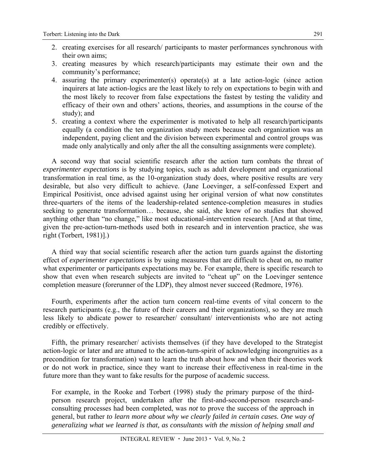- 2. creating exercises for all research/ participants to master performances synchronous with their own aims;
- 3. creating measures by which research/participants may estimate their own and the community's performance;
- 4. assuring the primary experimenter(s) operate(s) at a late action-logic (since action inquirers at late action-logics are the least likely to rely on expectations to begin with and the most likely to recover from false expectations the fastest by testing the validity and efficacy of their own and others' actions, theories, and assumptions in the course of the study); and
- 5. creating a context where the experimenter is motivated to help all research/participants equally (a condition the ten organization study meets because each organization was an independent, paying client and the division between experimental and control groups was made only analytically and only after the all the consulting assignments were complete).

A second way that social scientific research after the action turn combats the threat of *experimenter expectations* is by studying topics, such as adult development and organizational transformation in real time, as the 10-organization study does, where positive results are very desirable, but also very difficult to achieve. (Jane Loevinger, a self-confessed Expert and Empirical Positivist, once advised against using her original version of what now constitutes three-quarters of the items of the leadership-related sentence-completion measures in studies seeking to generate transformation… because, she said, she knew of no studies that showed anything other than "no change," like most educational-intervention research. [And at that time, given the pre-action-turn-methods used both in research and in intervention practice, she was right (Torbert, 1981)].)

A third way that social scientific research after the action turn guards against the distorting effect of *experimenter expectations* is by using measures that are difficult to cheat on, no matter what experimenter or participants expectations may be. For example, there is specific research to show that even when research subjects are invited to "cheat up" on the Loevinger sentence completion measure (forerunner of the LDP), they almost never succeed (Redmore, 1976).

Fourth, experiments after the action turn concern real-time events of vital concern to the research participants (e.g., the future of their careers and their organizations), so they are much less likely to abdicate power to researcher/ consultant/ interventionists who are not acting credibly or effectively.

Fifth, the primary researcher/ activists themselves (if they have developed to the Strategist action-logic or later and are attuned to the action-turn-spirit of acknowledging incongruities as a precondition for transformation) want to learn the truth about how and when their theories work or do not work in practice, since they want to increase their effectiveness in real-time in the future more than they want to fake results for the purpose of academic success.

For example, in the Rooke and Torbert (1998) study the primary purpose of the thirdperson research project, undertaken after the first-and-second-person research-andconsulting processes had been completed, was *not* to prove the success of the approach in general, but rather *to learn more about why we clearly failed in certain cases. One way of generalizing what we learned is that, as consultants with the mission of helping small and*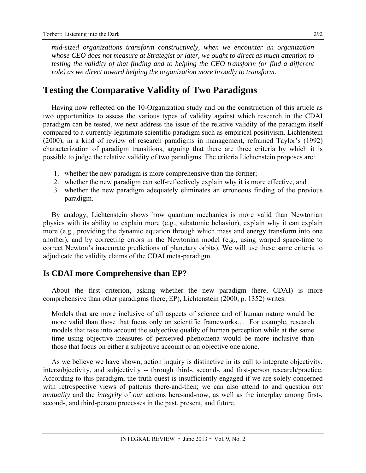*mid-sized organizations transform constructively, when we encounter an organization whose CEO does not measure at Strategist or later, we ought to direct as much attention to testing the validity of that finding and to helping the CEO transform (or find a different role) as we direct toward helping the organization more broadly to transform*.

### **Testing the Comparative Validity of Two Paradigms**

Having now reflected on the 10-Organization study and on the construction of this article as two opportunities to assess the various types of validity against which research in the CDAI paradigm can be tested, we next address the issue of the relative validity of the paradigm itself compared to a currently-legitimate scientific paradigm such as empirical positivism. Lichtenstein (2000), in a kind of review of research paradigms in management, reframed Taylor's (1992) characterization of paradigm transitions, arguing that there are three criteria by which it is possible to judge the relative validity of two paradigms. The criteria Lichtenstein proposes are:

- 1. whether the new paradigm is more comprehensive than the former;
- 2. whether the new paradigm can self-reflectively explain why it is more effective, and
- 3. whether the new paradigm adequately eliminates an erroneous finding of the previous paradigm.

By analogy, Lichtenstein shows how quantum mechanics is more valid than Newtonian physics with its ability to explain more (e.g., subatomic behavior), explain why it can explain more (e.g., providing the dynamic equation through which mass and energy transform into one another), and by correcting errors in the Newtonian model (e.g., using warped space-time to correct Newton's inaccurate predictions of planetary orbits). We will use these same criteria to adjudicate the validity claims of the CDAI meta-paradigm.

#### **Is CDAI more Comprehensive than EP?**

About the first criterion, asking whether the new paradigm (here, CDAI) is more comprehensive than other paradigms (here, EP), Lichtenstein (2000, p. 1352) writes:

Models that are more inclusive of all aspects of science and of human nature would be more valid than those that focus only on scientific frameworks… For example, research models that take into account the subjective quality of human perception while at the same time using objective measures of perceived phenomena would be more inclusive than those that focus on either a subjective account or an objective one alone.

As we believe we have shown, action inquiry is distinctive in its call to integrate objectivity, intersubjectivity, and subjectivity -- through third-, second-, and first-person research/practice. According to this paradigm, the truth-quest is insufficiently engaged if we are solely concerned with retrospective views of patterns there-and-then; we can also attend to and question *our mutuality* and the *integrity* of *our* actions here-and-now, as well as the interplay among first-, second-, and third-person processes in the past, present, and future.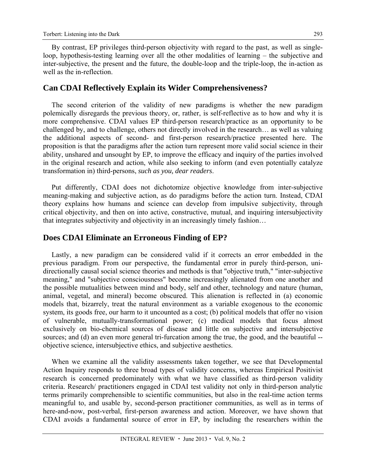By contrast, EP privileges third-person objectivity with regard to the past, as well as singleloop, hypothesis-testing learning over all the other modalities of learning – the subjective and inter-subjective, the present and the future, the double-loop and the triple-loop, the in-action as well as the in-reflection.

#### **Can CDAI Reflectively Explain its Wider Comprehensiveness?**

The second criterion of the validity of new paradigms is whether the new paradigm polemically disregards the previous theory, or, rather, is self-reflective as to how and why it is more comprehensive. CDAI values EP third-person research/practice as an opportunity to be challenged by, and to challenge, others not directly involved in the research… as well as valuing the additional aspects of second- and first-person research/practice presented here. The proposition is that the paradigms after the action turn represent more valid social science in their ability, unshared and unsought by EP, to improve the efficacy and inquiry of the parties involved in the original research and action, while also seeking to inform (and even potentially catalyze transformation in) third-persons, *such as you, dear readers*.

Put differently, CDAI does not dichotomize objective knowledge from inter-subjective meaning-making and subjective action, as do paradigms before the action turn. Instead, CDAI theory explains how humans and science can develop from impulsive subjectivity, through critical objectivity, and then on into active, constructive, mutual, and inquiring intersubjectivity that integrates subjectivity and objectivity in an increasingly timely fashion…

#### **Does CDAI Eliminate an Erroneous Finding of EP?**

Lastly, a new paradigm can be considered valid if it corrects an error embedded in the previous paradigm. From our perspective, the fundamental error in purely third-person, unidirectionally causal social science theories and methods is that "objective truth," "inter-subjective meaning," and "subjective consciousness" become increasingly alienated from one another and the possible mutualities between mind and body, self and other, technology and nature (human, animal, vegetal, and mineral) become obscured. This alienation is reflected in (a) economic models that, bizarrely, treat the natural environment as a variable exogenous to the economic system, its goods free, our harm to it uncounted as a cost; (b) political models that offer no vision of vulnerable, mutually-transformational power; (c) medical models that focus almost exclusively on bio-chemical sources of disease and little on subjective and intersubjective sources; and (d) an even more general tri-furcation among the true, the good, and the beautiful -objective science, intersubjective ethics, and subjective aesthetics.

When we examine all the validity assessments taken together, we see that Developmental Action Inquiry responds to three broad types of validity concerns, whereas Empirical Positivist research is concerned predominately with what we have classified as third-person validity criteria. Research/ practitioners engaged in CDAI test validity not only in third-person analytic terms primarily comprehensible to scientific communities, but also in the real-time action terms meaningful to, and usable by, second-person practitioner communities, as well as in terms of here-and-now, post-verbal, first-person awareness and action. Moreover, we have shown that CDAI avoids a fundamental source of error in EP, by including the researchers within the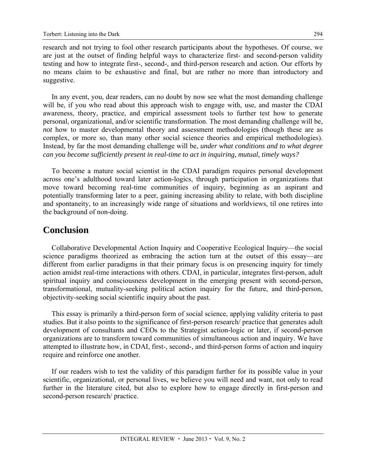research and not trying to fool other research participants about the hypotheses. Of course, we are just at the outset of finding helpful ways to characterize first- and second-person validity testing and how to integrate first-, second-, and third-person research and action. Our efforts by no means claim to be exhaustive and final, but are rather no more than introductory and suggestive.

In any event, you, dear readers, can no doubt by now see what the most demanding challenge will be, if you who read about this approach wish to engage with, use, and master the CDAI awareness, theory, practice, and empirical assessment tools to further test how to generate personal, organizational, and/or scientific transformation. The most demanding challenge will be, *not* how to master developmental theory and assessment methodologies (though these are as complex, or more so, than many other social science theories and empirical methodologies). Instead, by far the most demanding challenge will be, *under what conditions and to what degree can you become sufficiently present in real-time to act in inquiring, mutual, timely ways?*

To become a mature social scientist in the CDAI paradigm requires personal development across one's adulthood toward later action-logics, through participation in organizations that move toward becoming real-time communities of inquiry, beginning as an aspirant and potentially transforming later to a peer, gaining increasing ability to relate, with both discipline and spontaneity, to an increasingly wide range of situations and worldviews, til one retires into the background of non-doing.

### **Conclusion**

Collaborative Developmental Action Inquiry and Cooperative Ecological Inquiry—the social science paradigms theorized as embracing the action turn at the outset of this essay—are different from earlier paradigms in that their primary focus is on presencing inquiry for timely action amidst real-time interactions with others. CDAI, in particular, integrates first-person, adult spiritual inquiry and consciousness development in the emerging present with second-person, transformational, mutuality-seeking political action inquiry for the future, and third-person, objectivity-seeking social scientific inquiry about the past.

This essay is primarily a third-person form of social science, applying validity criteria to past studies. But it also points to the significance of first-person research/ practice that generates adult development of consultants and CEOs to the Strategist action-logic or later, if second-person organizations are to transform toward communities of simultaneous action and inquiry. We have attempted to illustrate how, in CDAI, first-, second-, and third-person forms of action and inquiry require and reinforce one another.

If our readers wish to test the validity of this paradigm further for its possible value in your scientific, organizational, or personal lives, we believe you will need and want, not only to read further in the literature cited, but also to explore how to engage directly in first-person and second-person research/ practice.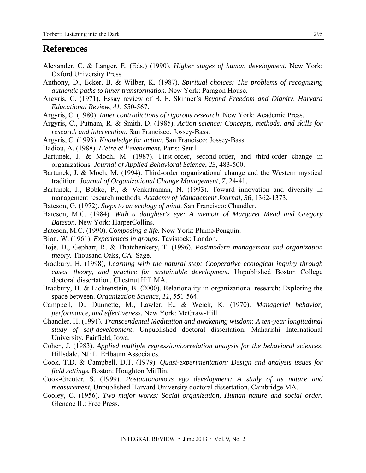### **References**

- Alexander, C. & Langer, E. (Eds.) (1990). *Higher stages of human development.* New York: Oxford University Press.
- Anthony, D., Ecker, B. & Wilber, K. (1987). *Spiritual choices: The problems of recognizing authentic paths to inner transformation*. New York: Paragon House.
- Argyris, C. (1971). Essay review of B. F. Skinner's *Beyond Freedom and Dignity*. *Harvard Educational Review*, *41,* 550-567.
- Argyris, C. (1980). *Inner contradictions of rigorous research*. New York: Academic Press.
- Argyris, C., Putnam, R. & Smith, D. (1985). *Action science: Concepts, methods, and skills for research and intervention.* San Francisco: Jossey-Bass.
- Argyris, C. (1993). *Knowledge for action*. San Francisco: Jossey-Bass.
- Badiou, A. (1988). *L'etre et l'evenement.* Paris: Seuil.
- Bartunek, J. & Moch, M. (1987). First-order, second-order, and third-order change in organizations. *Journal of Applied Behavioral Science*, *23*, 483-500.
- Bartunek, J. & Moch, M. (1994). Third-order organizational change and the Western mystical tradition. *Journal of Organizational Change Management*, *7*, 24-41.
- Bartunek, J., Bobko, P., & Venkatraman, N. (1993). Toward innovation and diversity in management research methods. *Academy of Management Journal*, *36,* 1362-1373.
- Bateson, G. (1972). *Steps to an ecology of mind*. San Francisco: Chandler.
- Bateson, M.C. (1984). *With a daughter's eye: A memoir of Margaret Mead and Gregory Bateson.* New York: HarperCollins.
- Bateson, M.C. (1990). *Composing a life.* New York: Plume/Penguin.
- Bion, W. (1961). *Experiences in groups*, Tavistock: London.
- Boje, D., Gephart, R. & Thatchenkery, T. (1996). *Postmodern management and organization theory.* Thousand Oaks, CA: Sage.
- Bradbury, H. (1998), *Learning with the natural step: Cooperative ecological inquiry through cases, theory, and practice for sustainable development.* Unpublished Boston College doctoral dissertation, Chestnut Hill MA.
- Bradbury, H. & Lichtenstein, B. (2000). Relationality in organizational research: Exploring the space between. *Organization Science*, *11*, 551-564.
- Campbell, D., Dunnette, M., Lawler, E., & Weick, K. (1970). *Managerial behavior, performance, and effectiveness.* New York: McGraw-Hill.
- Chandler, H. (1991). *Transcendental Meditation and awakening wisdom: A ten-year longitudinal study of self-development*, Unpublished doctoral dissertation, Maharishi International University, Fairfield, Iowa.
- Cohen, J. (1983). *Applied multiple regression/correlation analysis for the behavioral sciences*. Hillsdale, NJ: L. Erlbaum Associates.
- Cook, T.D. & Campbell, D.T. (1979). *Quasi-experimentation: Design and analysis issues for field settings.* Boston: Houghton Mifflin.
- Cook-Greuter, S. (1999). *Postautonomous ego development: A study of its nature and measurement*, Unpublished Harvard University doctoral dissertation, Cambridge MA.
- Cooley, C. (1956). *Two major works: Social organization, Human nature and social order.* Glencoe IL: Free Press.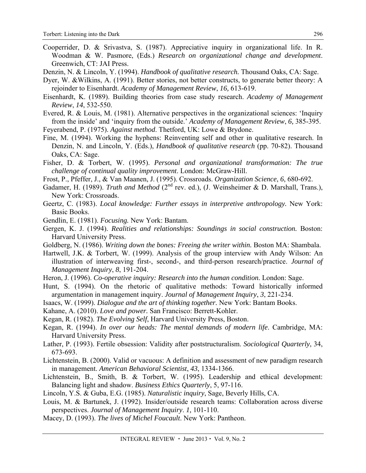- Cooperrider, D. & Srivastva, S. (1987). Appreciative inquiry in organizational life. In R. Woodman & W. Pasmore, (Eds.) *Research on organizational change and development*. Greenwich, CT: JAI Press.
- Denzin, N. & Lincoln, Y. (1994). *Handbook of qualitative research.* Thousand Oaks, CA: Sage.
- Dyer, W. &Wilkins, A. (1991). Better stories, not better constructs, to generate better theory: A rejoinder to Eisenhardt. *Academy of Management Review*, *16,* 613-619.
- Eisenhardt, K. (1989). Building theories from case study research. *Academy of Management Review*, *14*, 532-550.
- Evered, R. & Louis, M. (1981). Alternative perspectives in the organizational sciences: 'Inquiry from the inside' and 'inquiry from the outside.' *Academy of Management Review*, *6,* 385-395.
- Feyerabend, P. (1975). *Against method*. Thetford, UK: Lowe & Brydone.
- Fine, M. (1994). Working the hyphens: Reinventing self and other in qualitative research. In Denzin, N. and Lincoln, Y. (Eds.), *Handbook of qualitative research* (pp. 70-82). Thousand Oaks, CA: Sage.
- Fisher, D. & Torbert, W. (1995). *Personal and organizational transformation: The true challenge of continual quality improvement*. London: McGraw-Hill.
- Frost, P., Pfeffer, J., & Van Maanen, J. (1995). Crossroads. *Organization Science*, *6*, 680-692.
- Gadamer, H. (1989). *Truth and Method* (2<sup>nd</sup> rev. ed.), (J. Weinsheimer & D. Marshall, Trans.), New York: Crossroads.
- Geertz, C. (1983). *Local knowledge: Further essays in interpretive anthropology.* New York: Basic Books.
- Gendlin, E. (1981). *Focusing.* New York: Bantam.
- Gergen, K. J. (1994). *Realities and relationships: Soundings in social construction.* Boston: Harvard University Press.
- Goldberg, N. (1986). *Writing down the bones: Freeing the writer within.* Boston MA: Shambala.
- Hartwell, J.K. & Torbert, W. (1999). Analysis of the group interview with Andy Wilson: An illustration of interweaving first-, second-, and third-person research/practice. *Journal of Management Inquiry*, *8*, 191-204.
- Heron, J. (1996). *Co-operative inquiry: Research into the human condition.* London: Sage.
- Hunt, S. (1994). On the rhetoric of qualitative methods: Toward historically informed argumentation in management inquiry. *Journal of Management Inquiry*, *3*, 221-234.
- Isaacs, W. (1999). *Dialogue and the art of thinking together.* New York: Bantam Books.
- Kahane, A. (2010). *Love and power.* San Francisco: Berrett-Kohler.
- Kegan, R. (1982). *The Evolving Self*, Harvard University Press, Boston.
- Kegan, R. (1994). *In over our heads: The mental demands of modern life*. Cambridge, MA: Harvard University Press.
- Lather, P. (1993). Fertile obsession: Validity after poststructuralism. *Sociological Quarterly*, 34, 673-693.
- Lichtenstein, B. (2000). Valid or vacuous: A definition and assessment of new paradigm research in management. *American Behavioral Scientist*, *43*, 1334-1366.
- Lichtenstein, B., Smith, B. & Torbert, W. (1995). Leadership and ethical development: Balancing light and shadow. *Business Ethics Quarterly*, 5, 97-116.
- Lincoln, Y.S. & Guba, E.G. (1985). *Naturalistic inquiry*, Sage, Beverly Hills, CA.
- Louis, M. & Bartunek, J. (1992). Insider/outside research teams: Collaboration across diverse perspectives. *Journal of Management Inquiry*. *1,* 101-110.
- Macey, D. (1993). *The lives of Michel Foucault*. New York: Pantheon.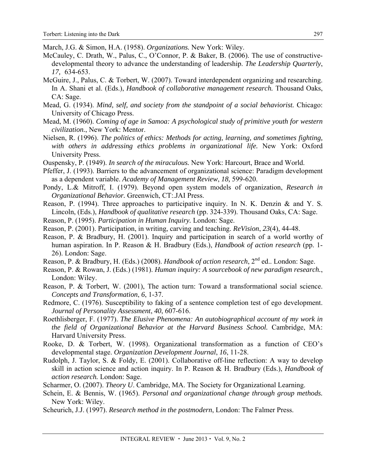- March, J.G. & Simon, H.A. (1958). *Organizations.* New York: Wiley.
- McCauley, C. Drath, W., Palus, C., O'Connor, P. & Baker, B. (2006). The use of constructivedevelopmental theory to advance the understanding of leadership. *The Leadership Quarterly*, *17,* 634-653.
- McGuire, J., Palus, C. & Torbert, W. (2007). Toward interdependent organizing and researching. In A. Shani et al. (Eds.), *Handbook of collaborative management research.* Thousand Oaks, CA: Sage.
- Mead, G. (1934). *Mind, self, and society from the standpoint of a social behaviorist.* Chicago: University of Chicago Press.
- Mead, M. (1960). *Coming of age in Samoa: A psychological study of primitive youth for western civilization.*, New York: Mentor.
- Nielsen, R. (1996). *The politics of ethics: Methods for acting, learning, and sometimes fighting, with others in addressing ethics problems in organizational life.* New York: Oxford University Press.
- Ouspensky, P. (1949). *In search of the miraculous.* New York: Harcourt, Brace and World.
- Pfeffer, J. (1993). Barriers to the advancement of organizational science: Paradigm development as a dependent variable. *Academy of Management Review*, *18,* 599-620.
- Pondy, L.& Mitroff, I. (1979). Beyond open system models of organization, *Research in Organizational Behavior.* Greenwich, CT:.JAI Press.
- Reason, P. (1994). Three approaches to participative inquiry. In N. K. Denzin & and Y. S. Lincoln, (Eds.), *Handbook of qualitative research* (pp. 324-339). Thousand Oaks, CA: Sage.
- Reason, P. (1995). *Participation in Human Inquiry.* London: Sage.
- Reason, P. (2001). Participation, in writing, carving and teaching. *ReVision*, *23*(4), 44-48.
- Reason, P. & Bradbury, H. (2001). Inquiry and participation in search of a world worthy of human aspiration. In P. Reason & H. Bradbury (Eds.), *Handbook of action research* (pp. 1- 26). London: Sage.
- Reason, P. & Bradbury, H. (Eds.) (2008). *Handbook of action research*, 2<sup>nd</sup> ed.. London: Sage.
- Reason, P. & Rowan, J. (Eds.) (1981). *Human inquiry: A sourcebook of new paradigm research.*, London: Wiley.
- Reason, P. & Torbert, W. (2001), The action turn: Toward a transformational social science. *Concepts and Transformation*, *6*, 1-37.
- Redmore, C. (1976). Susceptibility to faking of a sentence completion test of ego development. *Journal of Personality Assessment*, *40*, 607-616.
- Roethlisberger, F. (1977). *The Elusive Phenomena: An autobiographical account of my work in the field of Organizational Behavior at the Harvard Business School.* Cambridge, MA: Harvard University Press.
- Rooke, D. & Torbert, W. (1998). Organizational transformation as a function of CEO's developmental stage. *Organization Development Journal*, *16*, 11-28.
- Rudolph, J. Taylor, S. & Foldy, E. (2001). Collaborative off-line reflection: A way to develop skill in action science and action inquiry. In P. Reason & H. Bradbury (Eds.), *Handbook of action research.* London: Sage.
- Scharmer, O. (2007). *Theory U*. Cambridge, MA. The Society for Organizational Learning.
- Schein, E. & Bennis, W. (1965). *Personal and organizational change through group methods.* New York: Wiley.
- Scheurich, J.J. (1997). *Research method in the postmodern*, London: The Falmer Press.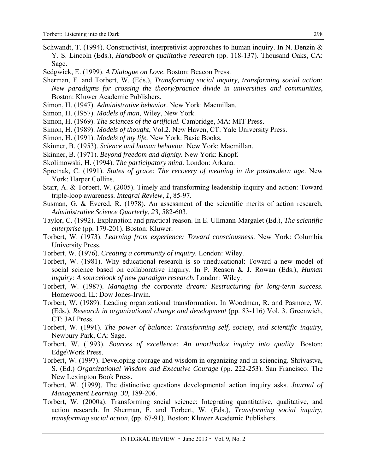- Schwandt, T. (1994). Constructivist, interpretivist approaches to human inquiry. In N. Denzin & Y. S. Lincoln (Eds.), *Handbook of qualitative research* (pp. 118-137)*.* Thousand Oaks, CA: Sage.
- Sedgwick, E. (1999). *A Dialogue on Love*. Boston: Beacon Press.
- Sherman, F. and Torbert, W. (Eds.), *Transforming social inquiry, transforming social action: New paradigms for crossing the theory/practice divide in universities and communities*, Boston: Kluwer Academic Publishers.
- Simon, H. (1947). *Administrative behavior.* New York: Macmillan.
- Simon, H. (1957). *Models of man*, Wiley, New York.
- Simon, H. (1969). *The sciences of the artificial.* Cambridge, MA: MIT Press.
- Simon, H. (1989). *Models of thought*, Vol.2. New Haven, CT: Yale University Press.
- Simon, H. (1991). *Models of my life.* New York: Basic Books.
- Skinner, B. (1953). *Science and human behavior*. New York: Macmillan.
- Skinner, B. (1971). *Beyond freedom and dignity.* New York: Knopf.
- Skolimowski, H. (1994). *The participatory mind.* London: Arkana.
- Spretnak, C. (1991). *States of grace: The recovery of meaning in the postmodern age*. New York: Harper Collins.
- Starr, A. & Torbert, W. (2005). Timely and transforming leadership inquiry and action: Toward triple-loop awareness. *Integral Review*, *1*, 85-97.
- Susman, G. & Evered, R. (1978). An assessment of the scientific merits of action research, *Administrative Science Quarterly*, *23*, 582-603.
- Taylor, C. (1992). Explanation and practical reason. In E. Ullmann-Margalet (Ed.), *The scientific enterprise* (pp. 179-201). Boston: Kluwer.
- Torbert, W. (1973). *Learning from experience: Toward consciousness*. New York: Columbia University Press.
- Torbert, W. (1976). *Creating a community of inquiry.* London: Wiley.
- Torbert, W. (1981). Why educational research is so uneducational: Toward a new model of social science based on collaborative inquiry. In P. Reason & J. Rowan (Eds.), *Human inquiry: A sourcebook of new paradigm research.* London: Wiley.
- Torbert, W. (1987). *Managing the corporate dream: Restructuring for long-term success*. Homewood, IL: Dow Jones-Irwin.
- Torbert, W. (1989). Leading organizational transformation. In Woodman, R. and Pasmore, W. (Eds.), *Research in organizational change and development* (pp. 83-116) Vol. 3. Greenwich, CT: JAI Press.
- Torbert, W. (1991). *The power of balance: Transforming self, society, and scientific inquiry*, Newbury Park, CA: Sage.
- Torbert, W. (1993). *Sources of excellence: An unorthodox inquiry into quality*. Boston: Edge\Work Press.
- Torbert, W. (1997). Developing courage and wisdom in organizing and in sciencing. Shrivastva, S. (Ed.) *Organizational Wisdom and Executive Courage* (pp. 222-253). San Francisco: The New Lexington Book Press.
- Torbert, W. (1999). The distinctive questions developmental action inquiry asks. *Journal of Management Learning*. *30*, 189-206.
- Torbert, W. (2000a). Transforming social science: Integrating quantitative, qualitative, and action research. In Sherman, F. and Torbert, W. (Eds.), *Transforming social inquiry, transforming social action*, (pp. 67-91). Boston: Kluwer Academic Publishers.